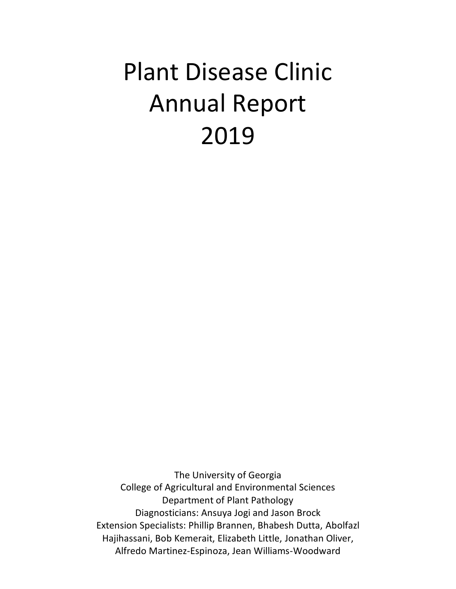# Plant Disease Clinic Annual Report 2019

The University of Georgia College of Agricultural and Environmental Sciences Department of Plant Pathology Diagnosticians: Ansuya Jogi and Jason Brock Extension Specialists: Phillip Brannen, Bhabesh Dutta, Abolfazl Hajihassani, Bob Kemerait, Elizabeth Little, Jonathan Oliver, Alfredo Martinez-Espinoza, Jean Williams-Woodward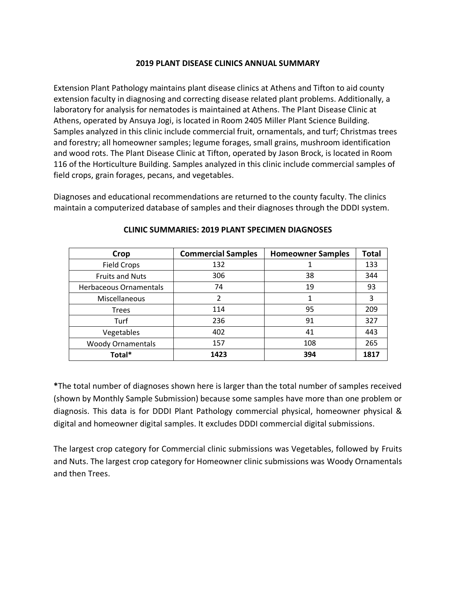#### **2019 PLANT DISEASE CLINICS ANNUAL SUMMARY**

Extension Plant Pathology maintains plant disease clinics at Athens and Tifton to aid county extension faculty in diagnosing and correcting disease related plant problems. Additionally, a laboratory for analysis for nematodes is maintained at Athens. The Plant Disease Clinic at Athens, operated by Ansuya Jogi, is located in Room 2405 Miller Plant Science Building. Samples analyzed in this clinic include commercial fruit, ornamentals, and turf; Christmas trees and forestry; all homeowner samples; legume forages, small grains, mushroom identification and wood rots. The Plant Disease Clinic at Tifton, operated by Jason Brock, is located in Room 116 of the Horticulture Building. Samples analyzed in this clinic include commercial samples of field crops, grain forages, pecans, and vegetables.

Diagnoses and educational recommendations are returned to the county faculty. The clinics maintain a computerized database of samples and their diagnoses through the DDDI system.

| Crop                     | <b>Commercial Samples</b> | <b>Homeowner Samples</b> | <b>Total</b> |
|--------------------------|---------------------------|--------------------------|--------------|
| <b>Field Crops</b>       | 132                       |                          | 133          |
| <b>Fruits and Nuts</b>   | 306                       | 38                       | 344          |
| Herbaceous Ornamentals   | 74                        | 19                       | 93           |
| Miscellaneous            | 2                         | 1                        | 3            |
| <b>Trees</b>             | 114                       | 95                       | 209          |
| Turf                     | 236                       | 91                       | 327          |
| Vegetables               | 402                       | 41                       | 443          |
| <b>Woody Ornamentals</b> | 157                       | 108                      | 265          |
| Total*                   | 1423                      | 394                      | 1817         |

#### **CLINIC SUMMARIES: 2019 PLANT SPECIMEN DIAGNOSES**

**\***The total number of diagnoses shown here is larger than the total number of samples received (shown by Monthly Sample Submission) because some samples have more than one problem or diagnosis. This data is for DDDI Plant Pathology commercial physical, homeowner physical & digital and homeowner digital samples. It excludes DDDI commercial digital submissions.

The largest crop category for Commercial clinic submissions was Vegetables, followed by Fruits and Nuts. The largest crop category for Homeowner clinic submissions was Woody Ornamentals and then Trees.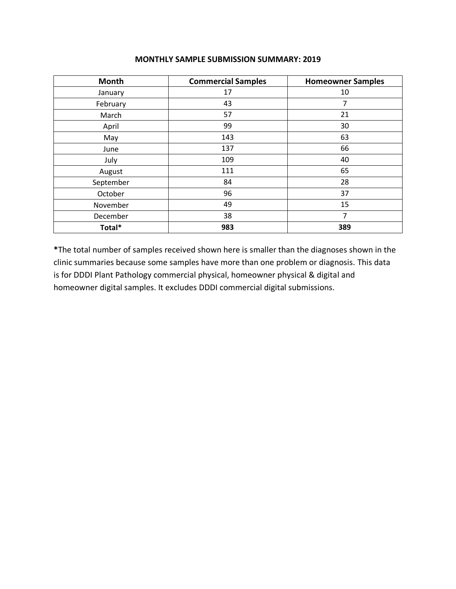| <b>Month</b> | <b>Commercial Samples</b> | <b>Homeowner Samples</b> |
|--------------|---------------------------|--------------------------|
| January      | 17                        | 10                       |
| February     | 43                        | 7                        |
| March        | 57                        | 21                       |
| April        | 99                        | 30                       |
| May          | 143                       | 63                       |
| June         | 137                       | 66                       |
| July         | 109                       | 40                       |
| August       | 111                       | 65                       |
| September    | 84                        | 28                       |
| October      | 96                        | 37                       |
| November     | 49                        | 15                       |
| December     | 38                        | 7                        |
| Total*       | 983                       | 389                      |

#### **MONTHLY SAMPLE SUBMISSION SUMMARY: 2019**

**\***The total number of samples received shown here is smaller than the diagnoses shown in the clinic summaries because some samples have more than one problem or diagnosis. This data is for DDDI Plant Pathology commercial physical, homeowner physical & digital and homeowner digital samples. It excludes DDDI commercial digital submissions.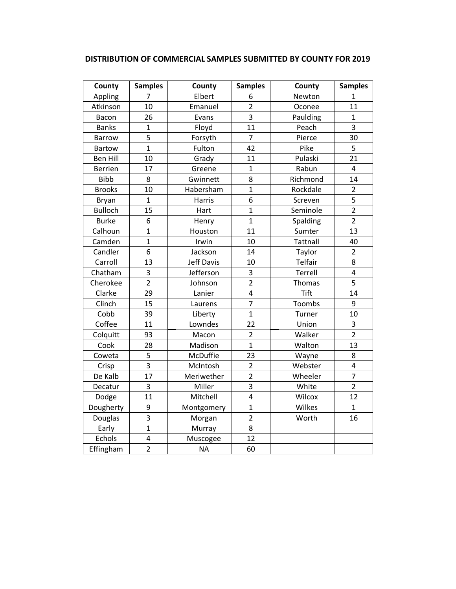| DISTRIBUTION OF COMMERCIAL SAMPLES SUBMITTED BY COUNTY FOR 2019 |
|-----------------------------------------------------------------|
|-----------------------------------------------------------------|

| County          | <b>Samples</b>          | County     | <b>Samples</b> | County      | <b>Samples</b>          |
|-----------------|-------------------------|------------|----------------|-------------|-------------------------|
| Appling         | 7                       | Elbert     | 6              | Newton      | 1                       |
| Atkinson        | 10                      | Emanuel    | $\overline{2}$ | Oconee      | 11                      |
| Bacon           | 26                      | Evans      | 3              | Paulding    | $\mathbf{1}$            |
| <b>Banks</b>    | $\mathbf{1}$            | Floyd      | 11             | Peach       | $\overline{3}$          |
| <b>Barrow</b>   | 5                       | Forsyth    | $\overline{7}$ | Pierce      | 30                      |
| <b>Bartow</b>   | $\overline{1}$          | Fulton     | 42             | Pike        | 5                       |
| <b>Ben Hill</b> | 10                      | Grady      | 11             | Pulaski     | 21                      |
| <b>Berrien</b>  | 17                      | Greene     | $\mathbf{1}$   | Rabun       | $\overline{4}$          |
| <b>Bibb</b>     | 8                       | Gwinnett   | 8              | Richmond    | 14                      |
| <b>Brooks</b>   | 10                      | Habersham  | $\mathbf{1}$   | Rockdale    | $\overline{2}$          |
| Bryan           | $\mathbf{1}$            | Harris     | 6              | Screven     | 5                       |
| <b>Bulloch</b>  | 15                      | Hart       | $\overline{1}$ | Seminole    | $\overline{2}$          |
| <b>Burke</b>    | 6                       | Henry      | $\mathbf{1}$   | Spalding    | $\overline{2}$          |
| Calhoun         | $\overline{1}$          | Houston    | 11             | Sumter      | 13                      |
| Camden          | $\overline{1}$          | Irwin      | 10             | Tattnall    | 40                      |
| Candler         | 6                       | Jackson    | 14             | Taylor      | $\overline{2}$          |
| Carroll         | 13                      | Jeff Davis | 10             | Telfair     | 8                       |
| Chatham         | 3                       | Jefferson  | $\overline{3}$ | Terrell     | $\overline{\mathbf{4}}$ |
| Cherokee        | $\overline{2}$          | Johnson    | $\overline{2}$ | Thomas      | 5                       |
| Clarke          | 29                      | Lanier     | 4              | <b>Tift</b> | 14                      |
| Clinch          | 15                      | Laurens    | $\overline{7}$ | Toombs      | 9                       |
| Cobb            | 39                      | Liberty    | $\overline{1}$ | Turner      | 10                      |
| Coffee          | 11                      | Lowndes    | 22             | Union       | 3                       |
| Colquitt        | 93                      | Macon      | $\overline{2}$ | Walker      | $\overline{2}$          |
| Cook            | 28                      | Madison    | $\mathbf{1}$   | Walton      | 13                      |
| Coweta          | 5                       | McDuffie   | 23             | Wayne       | 8                       |
| Crisp           | 3                       | McIntosh   | $\overline{2}$ | Webster     | $\pmb{4}$               |
| De Kalb         | 17                      | Meriwether | $\overline{2}$ | Wheeler     | $\overline{7}$          |
| Decatur         | 3                       | Miller     | 3              | White       | $\overline{2}$          |
| Dodge           | 11                      | Mitchell   | $\pmb{4}$      | Wilcox      | 12                      |
| Dougherty       | 9                       | Montgomery | $\mathbf{1}$   | Wilkes      | $\mathbf{1}$            |
| Douglas         | $\overline{3}$          | Morgan     | $\overline{2}$ | Worth       | 16                      |
| Early           | $\overline{1}$          | Murray     | 8              |             |                         |
| Echols          | $\overline{\mathbf{4}}$ | Muscogee   | 12             |             |                         |
| Effingham       | $\overline{2}$          | <b>NA</b>  | 60             |             |                         |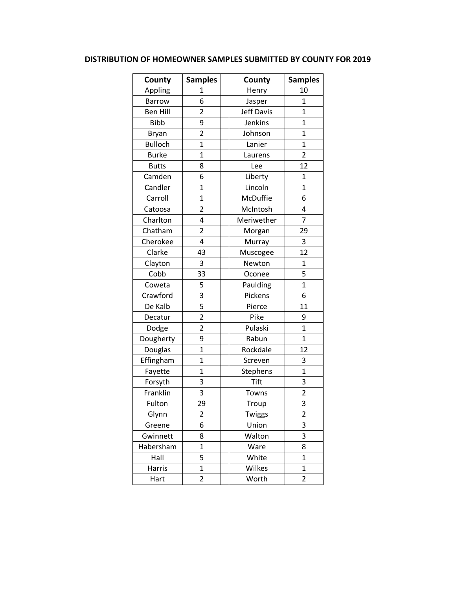## **DISTRIBUTION OF HOMEOWNER SAMPLES SUBMITTED BY COUNTY FOR 2019**

| County          | <b>Samples</b> | County            | <b>Samples</b> |
|-----------------|----------------|-------------------|----------------|
| Appling         | 1              | Henry             | 10             |
| <b>Barrow</b>   | 6              | Jasper            | $\mathbf{1}$   |
| <b>Ben Hill</b> | $\overline{2}$ | <b>Jeff Davis</b> | $\overline{1}$ |
| <b>Bibb</b>     | 9              | Jenkins           | 1              |
| Bryan           | $\overline{2}$ | Johnson           | 1              |
| <b>Bulloch</b>  | $\mathbf 1$    | Lanier            | $\mathbf 1$    |
| <b>Burke</b>    | $\mathbf 1$    | Laurens           | $\overline{2}$ |
| <b>Butts</b>    | 8              | Lee               | 12             |
| Camden          | 6              | Liberty           | $\mathbf{1}$   |
| Candler         | $\mathbf 1$    | Lincoln           | $\overline{1}$ |
| Carroll         | $\overline{1}$ | McDuffie          | 6              |
| Catoosa         | $\overline{2}$ | McIntosh          | 4              |
| Charlton        | 4              | Meriwether        | 7              |
| Chatham         | $\overline{2}$ | Morgan            | 29             |
| Cherokee        | 4              | Murray            | 3              |
| Clarke          | 43             | Muscogee          | 12             |
| Clayton         | 3              | Newton            | $\overline{1}$ |
| Cobb            | 33             | Oconee            | 5              |
| Coweta          | 5              | Paulding          | $\mathbf{1}$   |
| Crawford        | 3              | Pickens           | 6              |
| De Kalb         | 5              | Pierce            | 11             |
| Decatur         | $\overline{2}$ | Pike              | 9              |
| Dodge           | $\overline{2}$ | Pulaski           | $\mathbf{1}$   |
| Dougherty       | 9              | Rabun             | $\mathbf{1}$   |
| Douglas         | $\overline{1}$ | Rockdale          | 12             |
| Effingham       | $\mathbf{1}$   | Screven           | 3              |
| Fayette         | $\overline{1}$ | Stephens          | $\overline{1}$ |
| Forsyth         | 3              | <b>Tift</b>       | 3              |
| Franklin        | 3              | Towns             | $\overline{2}$ |
| Fulton          | 29             | Troup             | 3              |
| Glynn           | $\overline{c}$ | Twiggs            | $\overline{2}$ |
| Greene          | 6              | Union             | 3              |
| Gwinnett        | 8              | Walton            | 3              |
| Habersham       | $\mathbf 1$    | Ware              | 8              |
| Hall            | 5              | White             | $\mathbf{1}$   |
| Harris          | $\mathbf 1$    | Wilkes            | $\mathbf{1}$   |
| Hart            | 2              | Worth             | 2              |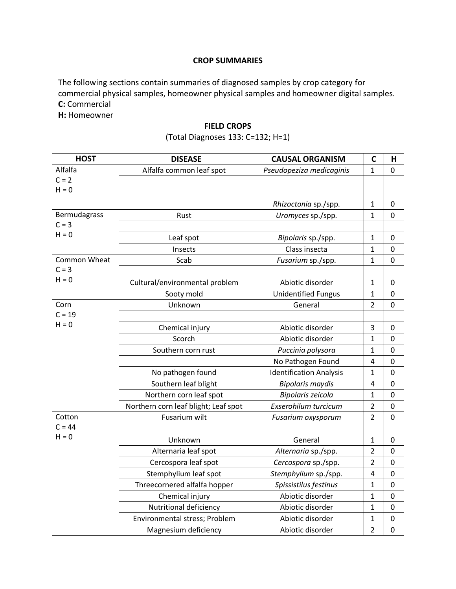#### **CROP SUMMARIES**

The following sections contain summaries of diagnosed samples by crop category for commercial physical samples, homeowner physical samples and homeowner digital samples. **C:** Commercial

**H:** Homeowner

#### **FIELD CROPS**

## (Total Diagnoses 133: C=132; H=1)

| <b>HOST</b>         | <b>DISEASE</b>                       | <b>CAUSAL ORGANISM</b>         | $\mathbf C$    | н              |
|---------------------|--------------------------------------|--------------------------------|----------------|----------------|
| Alfalfa             | Alfalfa common leaf spot             | Pseudopeziza medicaginis       | 1              | 0              |
| $C = 2$             |                                      |                                |                |                |
| $H = 0$             |                                      |                                |                |                |
|                     |                                      | Rhizoctonia sp./spp.           | 1              | 0              |
| Bermudagrass        | Rust                                 | Uromyces sp./spp.              | 1              | 0              |
| $C = 3$             |                                      |                                |                |                |
| $H = 0$             | Leaf spot                            | Bipolaris sp./spp.             | $\mathbf{1}$   | $\mathbf 0$    |
|                     | Insects                              | Class insecta                  | 1              | 0              |
| <b>Common Wheat</b> | Scab                                 | Fusarium sp./spp.              | $\mathbf{1}$   | $\mathbf 0$    |
| $C = 3$             |                                      |                                |                |                |
| $H = 0$             | Cultural/environmental problem       | Abiotic disorder               | 1              | 0              |
|                     | Sooty mold                           | <b>Unidentified Fungus</b>     | $\mathbf{1}$   | $\pmb{0}$      |
| Corn                | Unknown                              | General                        | $\overline{2}$ | $\mathbf 0$    |
| $C = 19$            |                                      |                                |                |                |
| $H = 0$             | Chemical injury                      | Abiotic disorder               | 3              | 0              |
|                     | Scorch                               | Abiotic disorder               | 1              | $\pmb{0}$      |
|                     | Southern corn rust                   | Puccinia polysora              | 1              | $\mathbf 0$    |
|                     |                                      | No Pathogen Found              | $\overline{4}$ | $\pmb{0}$      |
|                     | No pathogen found                    | <b>Identification Analysis</b> | $\mathbf{1}$   | $\mathbf 0$    |
|                     | Southern leaf blight                 | <b>Bipolaris maydis</b>        | 4              | 0              |
|                     | Northern corn leaf spot              | Bipolaris zeicola              | 1              | $\mathbf 0$    |
|                     | Northern corn leaf blight; Leaf spot | Exserohilum turcicum           | $\overline{2}$ | $\mathbf 0$    |
| Cotton              | Fusarium wilt                        | Fusarium oxysporum             | $\overline{2}$ | $\mathbf 0$    |
| $C = 44$            |                                      |                                |                |                |
| $H = 0$             | Unknown                              | General                        | 1              | 0              |
|                     | Alternaria leaf spot                 | Alternaria sp./spp.            | $\overline{2}$ | 0              |
|                     | Cercospora leaf spot                 | Cercospora sp./spp.            | $\overline{2}$ | 0              |
|                     | Stemphylium leaf spot                | Stemphylium sp./spp.           | $\overline{4}$ | $\pmb{0}$      |
|                     | Threecornered alfalfa hopper         | Spissistilus festinus          | $\mathbf{1}$   | $\overline{0}$ |
|                     | Chemical injury                      | Abiotic disorder               | $\mathbf{1}$   | 0              |
|                     | Nutritional deficiency               | Abiotic disorder               | $\mathbf 1$    | $\pmb{0}$      |
|                     | Environmental stress; Problem        | Abiotic disorder               | $\mathbf{1}$   | $\pmb{0}$      |
|                     | Magnesium deficiency                 | Abiotic disorder               | $\overline{2}$ | $\mathbf 0$    |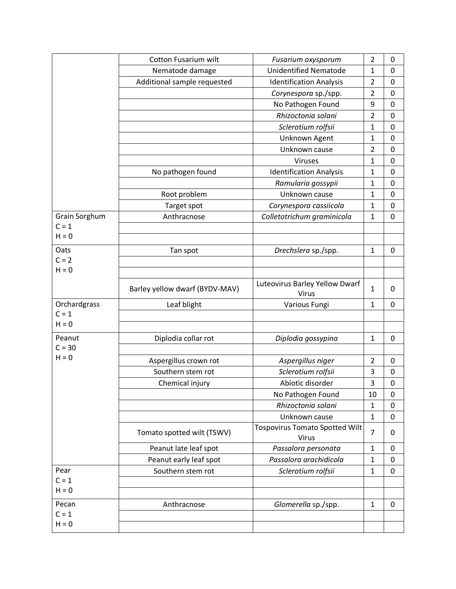|               | <b>Cotton Fusarium wilt</b>    | Fusarium oxysporum                                    | $\overline{2}$ | 0           |
|---------------|--------------------------------|-------------------------------------------------------|----------------|-------------|
|               | Nematode damage                | <b>Unidentified Nematode</b>                          | 1              | $\pmb{0}$   |
|               | Additional sample requested    | <b>Identification Analysis</b>                        | $\overline{2}$ | $\mathbf 0$ |
|               |                                | Corynespora sp./spp.                                  | $\overline{2}$ | 0           |
|               |                                | No Pathogen Found                                     | 9              | $\mathbf 0$ |
|               |                                | Rhizoctonia solani                                    | $\overline{2}$ | $\mathbf 0$ |
|               |                                | Sclerotium rolfsii                                    | $\mathbf{1}$   | $\mathbf 0$ |
|               |                                | Unknown Agent                                         | 1              | $\mathbf 0$ |
|               |                                | Unknown cause                                         | $\overline{2}$ | $\mathbf 0$ |
|               |                                | Viruses                                               | $\mathbf{1}$   | 0           |
|               | No pathogen found              | <b>Identification Analysis</b>                        | $\mathbf{1}$   | $\pmb{0}$   |
|               |                                | Ramularia gossypii                                    | 1              | 0           |
|               | Root problem                   | Unknown cause                                         | $\mathbf{1}$   | $\pmb{0}$   |
|               | Target spot                    | Corynespora cassiicola                                | $\mathbf{1}$   | 0           |
| Grain Sorghum | Anthracnose                    | Colletotrichum graminicola                            | $\mathbf{1}$   | $\mathbf 0$ |
| $C = 1$       |                                |                                                       |                |             |
| $H = 0$       |                                |                                                       |                |             |
| Oats          | Tan spot                       | Drechslera sp./spp.                                   | $\mathbf{1}$   | 0           |
| $C = 2$       |                                |                                                       |                |             |
| $H = 0$       |                                |                                                       |                |             |
|               | Barley yellow dwarf (BYDV-MAV) | Luteovirus Barley Yellow Dwarf<br>Virus               | $\mathbf{1}$   | 0           |
| Orchardgrass  | Leaf blight                    | Various Fungi                                         | $\mathbf{1}$   | 0           |
| $C = 1$       |                                |                                                       |                |             |
| $H = 0$       |                                |                                                       |                |             |
| Peanut        | Diplodia collar rot            | Diplodia gossypina                                    | $\mathbf{1}$   | 0           |
| $C = 30$      |                                |                                                       |                |             |
| $H = 0$       | Aspergillus crown rot          | Aspergillus niger                                     | $\overline{2}$ | $\mathbf 0$ |
|               | Southern stem rot              | Sclerotium rolfsii                                    | 3              | $\pmb{0}$   |
|               | Chemical injury                | Abiotic disorder                                      | 3              | $\mathbf 0$ |
|               |                                | No Pathogen Found                                     | 10             | 0           |
|               |                                | Rhizoctonia solani                                    | $\mathbf{1}$   | 0           |
|               |                                | Unknown cause                                         | $\mathbf{1}$   | 0           |
|               | Tomato spotted wilt (TSWV)     | <b>Tospovirus Tomato Spotted Wilt</b><br><b>Virus</b> | $\overline{7}$ | 0           |
|               | Peanut late leaf spot          | Passalora personata                                   | $\mathbf{1}$   | 0           |
|               | Peanut early leaf spot         | Passalora arachidicola                                | $\mathbf{1}$   | 0           |
| Pear          | Southern stem rot              | Sclerotium rolfsii                                    | $\mathbf{1}$   | $\mathbf 0$ |
| $C = 1$       |                                |                                                       |                |             |
| $H = 0$       |                                |                                                       |                |             |
| Pecan         | Anthracnose                    | Glomerella sp./spp.                                   | $\mathbf{1}$   | 0           |
| $C = 1$       |                                |                                                       |                |             |
| $H = 0$       |                                |                                                       |                |             |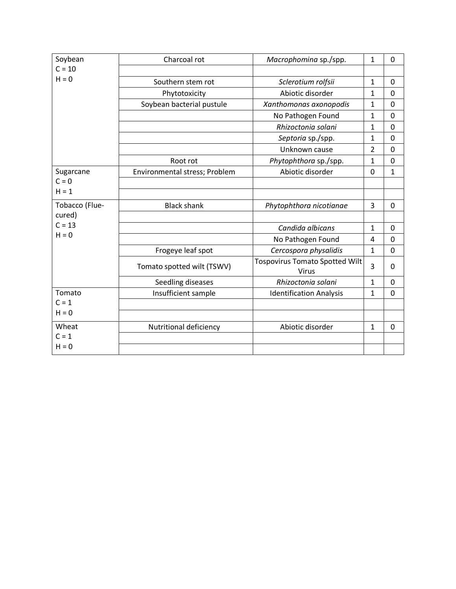| Soybean        | Charcoal rot                  | Macrophomina sp./spp.                                 | $\mathbf{1}$   | 0              |
|----------------|-------------------------------|-------------------------------------------------------|----------------|----------------|
| $C = 10$       |                               |                                                       |                |                |
| $H = 0$        | Southern stem rot             | Sclerotium rolfsii                                    | 1              | 0              |
|                | Phytotoxicity                 | Abiotic disorder                                      | $\mathbf{1}$   | $\mathbf 0$    |
|                | Soybean bacterial pustule     | Xanthomonas axonopodis                                | $\mathbf{1}$   | $\Omega$       |
|                |                               | No Pathogen Found                                     | $\mathbf{1}$   | 0              |
|                |                               | Rhizoctonia solani                                    | 1              | 0              |
|                |                               | Septoria sp./spp.                                     | 1              | $\Omega$       |
|                |                               | Unknown cause                                         | $\overline{2}$ | $\overline{0}$ |
|                | Root rot                      | Phytophthora sp./spp.                                 | $\mathbf{1}$   | 0              |
| Sugarcane      | Environmental stress; Problem | Abiotic disorder                                      | 0              | $\mathbf{1}$   |
| $C = 0$        |                               |                                                       |                |                |
| $H = 1$        |                               |                                                       |                |                |
| Tobacco (Flue- | <b>Black shank</b>            | Phytophthora nicotianae                               | 3              | $\mathbf 0$    |
| cured)         |                               |                                                       |                |                |
| $C = 13$       |                               | Candida albicans                                      | $\mathbf{1}$   | 0              |
| $H = 0$        |                               | No Pathogen Found                                     | 4              | 0              |
|                | Frogeye leaf spot             | Cercospora physalidis                                 | 1              | $\overline{0}$ |
|                | Tomato spotted wilt (TSWV)    | <b>Tospovirus Tomato Spotted Wilt</b><br><b>Virus</b> | 3              | $\Omega$       |
|                | Seedling diseases             | Rhizoctonia solani                                    | $\mathbf{1}$   | $\mathbf 0$    |
| Tomato         | Insufficient sample           | <b>Identification Analysis</b>                        | $\mathbf{1}$   | $\mathbf 0$    |
| $C = 1$        |                               |                                                       |                |                |
| $H = 0$        |                               |                                                       |                |                |
| Wheat          | Nutritional deficiency        | Abiotic disorder                                      | 1              | $\mathbf 0$    |
| $C = 1$        |                               |                                                       |                |                |
| $H = 0$        |                               |                                                       |                |                |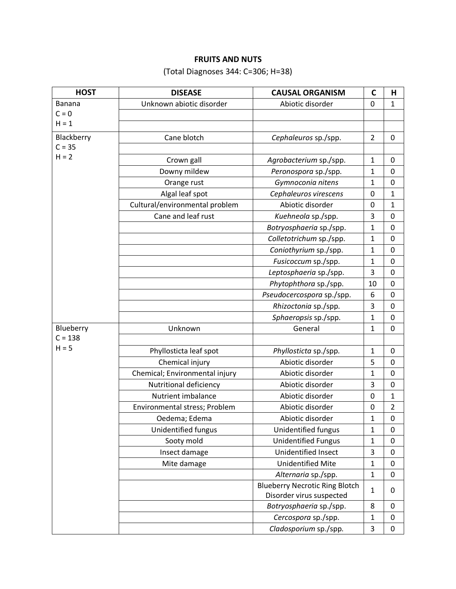## **FRUITS AND NUTS**

# (Total Diagnoses 344: C=306; H=38)

| <b>HOST</b> | <b>DISEASE</b>                 | <b>CAUSAL ORGANISM</b>                | $\mathbf C$    | н              |
|-------------|--------------------------------|---------------------------------------|----------------|----------------|
| Banana      | Unknown abiotic disorder       | Abiotic disorder                      | $\mathbf 0$    | $\mathbf{1}$   |
| $C = 0$     |                                |                                       |                |                |
| $H = 1$     |                                |                                       |                |                |
| Blackberry  | Cane blotch                    | Cephaleuros sp./spp.                  | $\overline{2}$ | $\mathbf 0$    |
| $C = 35$    |                                |                                       |                |                |
| $H = 2$     | Crown gall                     | Agrobacterium sp./spp.                | 1              | 0              |
|             | Downy mildew                   | Peronospora sp./spp.                  | 1              | $\mathbf 0$    |
|             | Orange rust                    | Gymnoconia nitens                     | 1              | $\mathbf 0$    |
|             | Algal leaf spot                | Cephaleuros virescens                 | $\mathbf 0$    | 1              |
|             | Cultural/environmental problem | Abiotic disorder                      | $\mathbf 0$    | 1              |
|             | Cane and leaf rust             | Kuehneola sp./spp.                    | 3              | 0              |
|             |                                | Botryosphaeria sp./spp.               | 1              | 0              |
|             |                                | Colletotrichum sp./spp.               | 1              | 0              |
|             |                                | Coniothyrium sp./spp.                 | $\mathbf 1$    | $\mathbf 0$    |
|             |                                | Fusicoccum sp./spp.                   | 1              | 0              |
|             |                                | Leptosphaeria sp./spp.                | 3              | $\mathbf 0$    |
|             |                                | Phytophthora sp./spp.                 | 10             | 0              |
|             |                                | Pseudocercospora sp./spp.             | 6              | $\mathbf 0$    |
|             |                                | Rhizoctonia sp./spp.                  | 3              | $\pmb{0}$      |
|             |                                | Sphaeropsis sp./spp.                  | 1              | $\mathbf 0$    |
| Blueberry   | Unknown                        | General                               | 1              | 0              |
| $C = 138$   |                                |                                       |                |                |
| $H = 5$     | Phyllosticta leaf spot         | Phyllosticta sp./spp.                 | 1              | 0              |
|             | Chemical injury                | Abiotic disorder                      | 5              | $\mathbf 0$    |
|             | Chemical; Environmental injury | Abiotic disorder                      | 1              | 0              |
|             | Nutritional deficiency         | Abiotic disorder                      | 3              | $\pmb{0}$      |
|             | Nutrient imbalance             | Abiotic disorder                      | 0              | 1              |
|             | Environmental stress; Problem  | Abiotic disorder                      | $\pmb{0}$      | $\overline{2}$ |
|             | Oedema; Edema                  | Abiotic disorder                      | 1              | 0              |
|             | Unidentified fungus            | Unidentified fungus                   | 1              | $\mathbf 0$    |
|             | Sooty mold                     | <b>Unidentified Fungus</b>            | 1              | 0              |
|             | Insect damage                  | Unidentified Insect                   | 3              | $\mathbf 0$    |
|             | Mite damage                    | <b>Unidentified Mite</b>              | 1              | $\pmb{0}$      |
|             |                                | Alternaria sp./spp.                   | 1              | $\pmb{0}$      |
|             |                                | <b>Blueberry Necrotic Ring Blotch</b> |                | 0              |
|             |                                | Disorder virus suspected              | 1              |                |
|             |                                | Botryosphaeria sp./spp.               | 8              | 0              |
|             |                                | Cercospora sp./spp.                   | 1              | 0              |
|             |                                | Cladosporium sp./spp.                 | 3              | $\pmb{0}$      |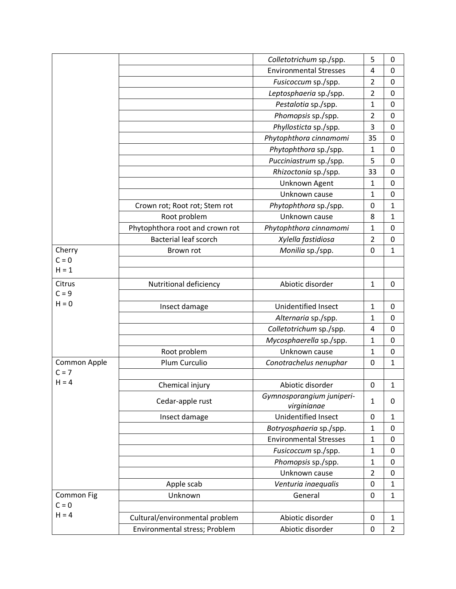|              |                                 | Colletotrichum sp./spp.                  | 5              | 0              |
|--------------|---------------------------------|------------------------------------------|----------------|----------------|
|              |                                 | <b>Environmental Stresses</b>            | 4              | 0              |
|              |                                 | Fusicoccum sp./spp.                      | $\overline{2}$ | $\mathbf 0$    |
|              |                                 | Leptosphaeria sp./spp.                   | $\overline{2}$ | 0              |
|              |                                 | Pestalotia sp./spp.                      | $\mathbf{1}$   | 0              |
|              |                                 | Phomopsis sp./spp.                       | $\overline{2}$ | 0              |
|              |                                 | Phyllosticta sp./spp.                    | 3              | 0              |
|              |                                 | Phytophthora cinnamomi                   | 35             | 0              |
|              |                                 | Phytophthora sp./spp.                    | $\mathbf{1}$   | 0              |
|              |                                 | Pucciniastrum sp./spp.                   | 5              | 0              |
|              |                                 | Rhizoctonia sp./spp.                     | 33             | $\mathbf 0$    |
|              |                                 | Unknown Agent                            | $\mathbf{1}$   | 0              |
|              |                                 | Unknown cause                            | $\mathbf{1}$   | 0              |
|              | Crown rot; Root rot; Stem rot   | Phytophthora sp./spp.                    | 0              | $\mathbf 1$    |
|              | Root problem                    | Unknown cause                            | 8              | $\mathbf{1}$   |
|              | Phytophthora root and crown rot | Phytophthora cinnamomi                   | $\mathbf{1}$   | 0              |
|              | <b>Bacterial leaf scorch</b>    | Xylella fastidiosa                       | $\overline{2}$ | 0              |
| Cherry       | Brown rot                       | Monilia sp./spp.                         | 0              | $\mathbf 1$    |
| $C = 0$      |                                 |                                          |                |                |
| $H = 1$      |                                 |                                          |                |                |
| Citrus       | Nutritional deficiency          | Abiotic disorder                         | $\mathbf{1}$   | 0              |
| $C = 9$      |                                 |                                          |                |                |
| $H = 0$      | Insect damage                   | Unidentified Insect                      | $\mathbf{1}$   | $\mathbf 0$    |
|              |                                 | Alternaria sp./spp.                      | $\mathbf{1}$   | 0              |
|              |                                 | Colletotrichum sp./spp.                  | 4              | $\mathbf 0$    |
|              |                                 | Mycosphaerella sp./spp.                  | $\mathbf{1}$   | 0              |
|              | Root problem                    | Unknown cause                            | 1              | 0              |
| Common Apple | Plum Curculio                   | Conotrachelus nenuphar                   | 0              | $\mathbf{1}$   |
| $C = 7$      |                                 |                                          |                |                |
| $H = 4$      | Chemical injury                 | Abiotic disorder                         | 0              | $\mathbf 1$    |
|              | Cedar-apple rust                | Gymnosporangium juniperi-<br>virginianae | $\mathbf{1}$   | 0              |
|              | Insect damage                   | Unidentified Insect                      | 0              | $\mathbf{1}$   |
|              |                                 | Botryosphaeria sp./spp.                  | $\mathbf{1}$   | 0              |
|              |                                 | <b>Environmental Stresses</b>            | $\mathbf{1}$   | $\mathbf 0$    |
|              |                                 | Fusicoccum sp./spp.                      | $\mathbf{1}$   | 0              |
|              |                                 | Phomopsis sp./spp.                       | $\mathbf{1}$   | $\mathbf 0$    |
|              |                                 | Unknown cause                            | $\overline{2}$ | 0              |
|              | Apple scab                      | Venturia inaequalis                      | 0              | $\mathbf{1}$   |
| Common Fig   | Unknown                         | General                                  | 0              | $\mathbf{1}$   |
| $C = 0$      |                                 |                                          |                |                |
| $H = 4$      | Cultural/environmental problem  | Abiotic disorder                         | 0              | $\mathbf{1}$   |
|              | Environmental stress; Problem   | Abiotic disorder                         | 0              | $\overline{2}$ |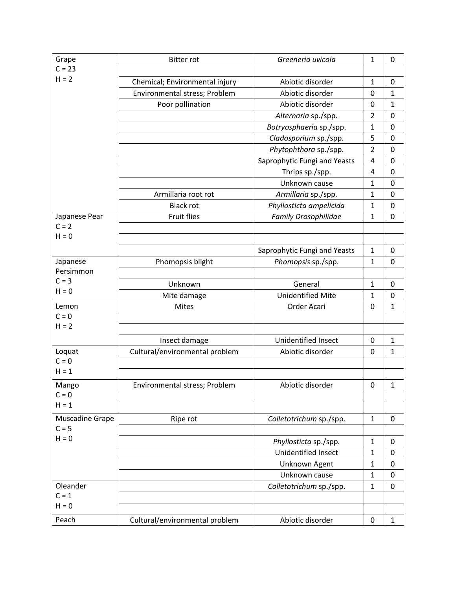| Grape                      | <b>Bitter rot</b>              | Greeneria uvicola            | $\mathbf{1}$   | 0                |
|----------------------------|--------------------------------|------------------------------|----------------|------------------|
| $C = 23$<br>$H = 2$        |                                |                              |                |                  |
|                            | Chemical; Environmental injury | Abiotic disorder             | $\mathbf{1}$   | $\mathbf 0$      |
|                            | Environmental stress; Problem  | Abiotic disorder             | 0              | 1                |
|                            | Poor pollination               | Abiotic disorder             | $\mathbf 0$    | $\mathbf{1}$     |
|                            |                                | Alternaria sp./spp.          | $\overline{2}$ | $\mathbf 0$      |
|                            |                                | Botryosphaeria sp./spp.      | $\mathbf{1}$   | $\mathbf 0$      |
|                            |                                | Cladosporium sp./spp.        | 5              | 0                |
|                            |                                | Phytophthora sp./spp.        | $\overline{2}$ | $\mathbf 0$      |
|                            |                                | Saprophytic Fungi and Yeasts | 4              | $\mathbf 0$      |
|                            |                                | Thrips sp./spp.              | $\overline{4}$ | $\mathbf 0$      |
|                            |                                | Unknown cause                | 1              | $\boldsymbol{0}$ |
|                            | Armillaria root rot            | Armillaria sp./spp.          | 1              | $\mathbf 0$      |
|                            | <b>Black rot</b>               | Phyllosticta ampelicida      | 1              | $\boldsymbol{0}$ |
| Japanese Pear              | <b>Fruit flies</b>             | <b>Family Drosophilidae</b>  | $\mathbf{1}$   | $\mathbf 0$      |
| $C = 2$                    |                                |                              |                |                  |
| $H = 0$                    |                                |                              |                |                  |
|                            |                                | Saprophytic Fungi and Yeasts | $\mathbf{1}$   | 0                |
| Japanese                   | Phomopsis blight               | Phomopsis sp./spp.           | $\mathbf{1}$   | $\mathbf 0$      |
| Persimmon                  |                                |                              |                |                  |
| $C = 3$                    | Unknown                        | General                      | 1              | 0                |
| $H = 0$                    | Mite damage                    | <b>Unidentified Mite</b>     | 1              | $\boldsymbol{0}$ |
| Lemon                      | Mites                          | Order Acari                  | $\mathbf 0$    | $\mathbf{1}$     |
| $C = 0$                    |                                |                              |                |                  |
| $H = 2$                    |                                |                              |                |                  |
|                            | Insect damage                  | Unidentified Insect          | 0              | 1                |
| Loquat                     | Cultural/environmental problem | Abiotic disorder             | 0              | 1                |
| $C = 0$                    |                                |                              |                |                  |
| $H = 1$                    |                                |                              |                |                  |
|                            |                                |                              |                |                  |
| Mango<br>$C = 0$           | Environmental stress; Problem  | Abiotic disorder             | 0              | $\mathbf{1}$     |
| $H = 1$                    |                                |                              |                |                  |
|                            |                                |                              |                |                  |
| Muscadine Grape<br>$C = 5$ | Ripe rot                       | Colletotrichum sp./spp.      | $\mathbf{1}$   | 0                |
| $H = 0$                    |                                |                              |                |                  |
|                            |                                | Phyllosticta sp./spp.        | $\mathbf{1}$   | 0                |
|                            |                                | Unidentified Insect          | $\mathbf{1}$   | $\mathbf 0$      |
|                            |                                | Unknown Agent                | $\mathbf{1}$   | $\mathbf 0$      |
|                            |                                | Unknown cause                | $\mathbf{1}$   | $\mathbf 0$      |
| Oleander                   |                                | Colletotrichum sp./spp.      | $\mathbf{1}$   | $\mathbf 0$      |
| $C = 1$                    |                                |                              |                |                  |
| $H = 0$                    |                                |                              |                |                  |
| Peach                      | Cultural/environmental problem | Abiotic disorder             | $\pmb{0}$      | $\mathbf{1}$     |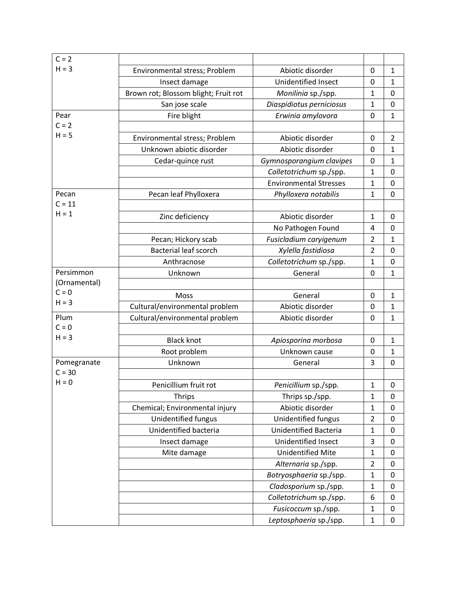| $C = 2$                   |                                      |                               |                     |                              |
|---------------------------|--------------------------------------|-------------------------------|---------------------|------------------------------|
| $H = 3$                   | Environmental stress; Problem        | Abiotic disorder              | 0                   | $\mathbf{1}$                 |
|                           | Insect damage                        | Unidentified Insect           | 0                   | $\mathbf{1}$                 |
|                           | Brown rot; Blossom blight; Fruit rot | Monilinia sp./spp.            | 1                   | 0                            |
|                           | San jose scale                       | Diaspidiotus perniciosus      | $\mathbf{1}$        | $\mathbf 0$                  |
| Pear                      | Fire blight                          | Erwinia amylovora             | 0                   | $\mathbf 1$                  |
| $C = 2$                   |                                      |                               |                     |                              |
| $H = 5$                   | Environmental stress; Problem        | Abiotic disorder              | 0                   | $\overline{2}$               |
|                           | Unknown abiotic disorder             | Abiotic disorder              | 0                   | $\mathbf{1}$                 |
|                           | Cedar-quince rust                    | Gymnosporangium clavipes      | 0                   | $\mathbf{1}$                 |
|                           |                                      | Colletotrichum sp./spp.       | $\mathbf{1}$        | 0                            |
|                           |                                      | <b>Environmental Stresses</b> | 1                   | 0                            |
| Pecan                     | Pecan leaf Phylloxera                | Phylloxera notabilis          | $\mathbf{1}$        | $\mathbf 0$                  |
| $C = 11$                  |                                      |                               |                     |                              |
| $H = 1$                   |                                      | Abiotic disorder              | $\mathbf{1}$        | 0                            |
|                           | Zinc deficiency                      |                               |                     | 0                            |
|                           | Pecan; Hickory scab                  | No Pathogen Found             | 4<br>$\overline{2}$ | $\mathbf{1}$                 |
|                           | <b>Bacterial leaf scorch</b>         | Fusicladium caryigenum        |                     |                              |
|                           |                                      | Xylella fastidiosa            | $\overline{2}$      | 0                            |
|                           | Anthracnose                          | Colletotrichum sp./spp.       | $\mathbf{1}$        | 0                            |
| Persimmon<br>(Ornamental) | Unknown                              | General                       | 0                   | $\mathbf{1}$                 |
| $C = 0$                   |                                      |                               |                     |                              |
| $H = 3$                   | Moss                                 | General                       | 0                   | $\mathbf{1}$                 |
|                           | Cultural/environmental problem       | Abiotic disorder              | 0                   | $\mathbf{1}$                 |
| Plum<br>$C = 0$           | Cultural/environmental problem       | Abiotic disorder              | 0                   | $\mathbf{1}$                 |
| $H = 3$                   | <b>Black knot</b>                    |                               |                     |                              |
|                           |                                      | Apiosporina morbosa           | 0                   | $\mathbf{1}$<br>$\mathbf{1}$ |
|                           | Root problem                         | Unknown cause<br>General      | 0                   |                              |
| Pomegranate<br>$C = 30$   | Unknown                              |                               | 3                   | $\mathbf 0$                  |
| $H = 0$                   |                                      |                               |                     |                              |
|                           | Penicillium fruit rot                | Penicillium sp./spp.          | $\mathbf{1}$        | 0                            |
|                           | <b>Thrips</b>                        | Thrips sp./spp.               | $\mathbf{1}$        | $\mathbf 0$                  |
|                           | Chemical; Environmental injury       | Abiotic disorder              | $\mathbf{1}$        | $\pmb{0}$                    |
|                           | Unidentified fungus                  | Unidentified fungus           | $\overline{2}$      | $\mathbf 0$                  |
|                           | Unidentified bacteria                | Unidentified Bacteria         | $\mathbf{1}$        | 0                            |
|                           | Insect damage                        | Unidentified Insect           | 3                   | 0                            |
|                           | Mite damage                          | <b>Unidentified Mite</b>      | $\mathbf{1}$        | 0                            |
|                           |                                      | Alternaria sp./spp.           | $\overline{2}$      | 0                            |
|                           |                                      | Botryosphaeria sp./spp.       | $\mathbf{1}$        | $\mathbf 0$                  |
|                           |                                      | Cladosporium sp./spp.         | $\mathbf{1}$        | $\pmb{0}$                    |
|                           |                                      | Colletotrichum sp./spp.       | 6                   | $\pmb{0}$                    |
|                           |                                      | Fusicoccum sp./spp.           | $\mathbf{1}$        | $\pmb{0}$                    |
|                           |                                      | Leptosphaeria sp./spp.        | $\mathbf{1}$        | $\pmb{0}$                    |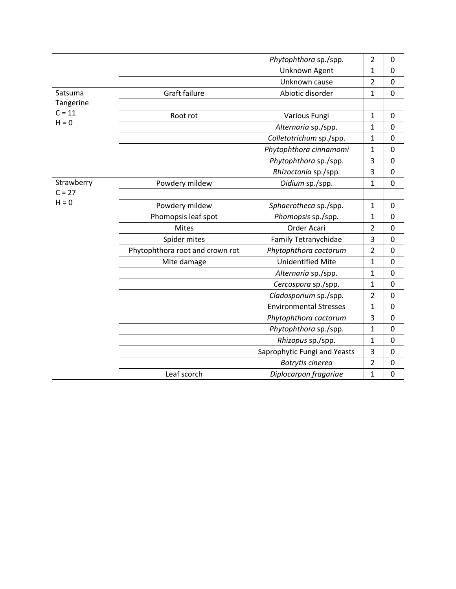|            |                                 | Phytophthora sp./spp.         | $\overline{2}$ | 0           |
|------------|---------------------------------|-------------------------------|----------------|-------------|
|            |                                 | Unknown Agent                 | 1              | 0           |
|            |                                 | Unknown cause                 | $\overline{2}$ | 0           |
| Satsuma    | Graft failure                   | Abiotic disorder              | $\mathbf{1}$   | 0           |
| Tangerine  |                                 |                               |                |             |
| $C = 11$   | Root rot                        | Various Fungi                 | $\mathbf{1}$   | 0           |
| $H = 0$    |                                 | Alternaria sp./spp.           | $\mathbf{1}$   | 0           |
|            |                                 | Colletotrichum sp./spp.       | 1              | 0           |
|            |                                 | Phytophthora cinnamomi        | 1              | $\mathbf 0$ |
|            |                                 | Phytophthora sp./spp.         | 3              | 0           |
|            |                                 | Rhizoctonia sp./spp.          | 3              | 0           |
| Strawberry | Powdery mildew                  | Oidium sp./spp.               | $\mathbf{1}$   | $\mathbf 0$ |
| $C = 27$   |                                 |                               |                |             |
| $H = 0$    | Powdery mildew                  | Sphaerotheca sp./spp.         | $\mathbf{1}$   | 0           |
|            | Phomopsis leaf spot             | Phomopsis sp./spp.            | $\mathbf{1}$   | 0           |
|            | <b>Mites</b>                    | Order Acari                   | $\overline{2}$ | 0           |
|            | Spider mites                    | Family Tetranychidae          | 3              | 0           |
|            | Phytophthora root and crown rot | Phytophthora cactorum         | $\overline{2}$ | 0           |
|            | Mite damage                     | <b>Unidentified Mite</b>      | $\mathbf{1}$   | $\mathsf 0$ |
|            |                                 | Alternaria sp./spp.           | $\mathbf{1}$   | 0           |
|            |                                 | Cercospora sp./spp.           | 1              | $\mathbf 0$ |
|            |                                 | Cladosporium sp./spp.         | $\overline{2}$ | 0           |
|            |                                 | <b>Environmental Stresses</b> | $\mathbf{1}$   | 0           |
|            |                                 | Phytophthora cactorum         | 3              | 0           |
|            |                                 | Phytophthora sp./spp.         | $\mathbf{1}$   | 0           |
|            |                                 | Rhizopus sp./spp.             | $\mathbf{1}$   | 0           |
|            |                                 | Saprophytic Fungi and Yeasts  | 3              | 0           |
|            |                                 | Botrytis cinerea              | 2              | 0           |
|            | Leaf scorch                     | Diplocarpon fragariae         | 1              | $\mathbf 0$ |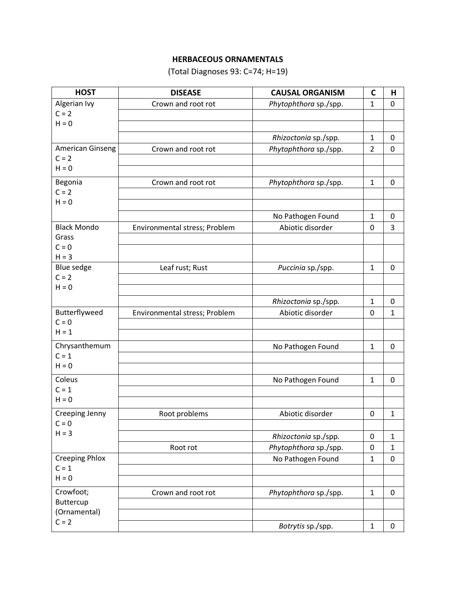## **HERBACEOUS ORNAMENTALS**

(Total Diagnoses 93: C=74; H=19)

| <b>HOST</b>                 | <b>DISEASE</b>                | <b>CAUSAL ORGANISM</b> | $\mathbf C$    | Н            |
|-----------------------------|-------------------------------|------------------------|----------------|--------------|
| Algerian Ivy                | Crown and root rot            | Phytophthora sp./spp.  | $\mathbf{1}$   | 0            |
| $C = 2$                     |                               |                        |                |              |
| $H = 0$                     |                               |                        |                |              |
|                             |                               | Rhizoctonia sp./spp.   | $\mathbf{1}$   | 0            |
| American Ginseng            | Crown and root rot            | Phytophthora sp./spp.  | $\overline{2}$ | 0            |
| $C = 2$<br>$H = 0$          |                               |                        |                |              |
|                             |                               |                        |                |              |
| Begonia                     | Crown and root rot            | Phytophthora sp./spp.  | $\mathbf{1}$   | 0            |
| $C = 2$<br>$H = 0$          |                               |                        |                |              |
|                             |                               |                        |                |              |
|                             |                               | No Pathogen Found      | $\mathbf{1}$   | 0            |
| <b>Black Mondo</b><br>Grass | Environmental stress; Problem | Abiotic disorder       | 0              | 3            |
| $C = 0$                     |                               |                        |                |              |
| $H = 3$                     |                               |                        |                |              |
| Blue sedge                  | Leaf rust; Rust               | Puccinia sp./spp.      | $\mathbf{1}$   | $\pmb{0}$    |
| $C = 2$                     |                               |                        |                |              |
| $H = 0$                     |                               |                        |                |              |
|                             |                               | Rhizoctonia sp./spp.   | 1              | $\pmb{0}$    |
| Butterflyweed               | Environmental stress; Problem | Abiotic disorder       | 0              | 1            |
| $C = 0$                     |                               |                        |                |              |
| $H = 1$                     |                               |                        |                |              |
| Chrysanthemum               |                               | No Pathogen Found      | 1              | 0            |
| $C = 1$<br>$H = 0$          |                               |                        |                |              |
|                             |                               |                        |                |              |
| Coleus<br>$C = 1$           |                               | No Pathogen Found      | $\mathbf{1}$   | 0            |
| $H = 0$                     |                               |                        |                |              |
|                             |                               |                        |                |              |
| Creeping Jenny<br>$C = 0$   | Root problems                 | Abiotic disorder       | 0              | $\mathbf{1}$ |
| $H = 3$                     |                               | Rhizoctonia sp./spp.   | 0              | 1            |
|                             | Root rot                      | Phytophthora sp./spp.  | $\mathbf 0$    | $\mathbf{1}$ |
| <b>Creeping Phlox</b>       |                               | No Pathogen Found      | $\mathbf{1}$   | 0            |
| $C = 1$                     |                               |                        |                |              |
| $H = 0$                     |                               |                        |                |              |
| Crowfoot;                   | Crown and root rot            | Phytophthora sp./spp.  | $\mathbf{1}$   | $\pmb{0}$    |
| Buttercup                   |                               |                        |                |              |
| (Ornamental)                |                               |                        |                |              |
| $C = 2$                     |                               | Botrytis sp./spp.      | $\mathbf{1}$   | 0            |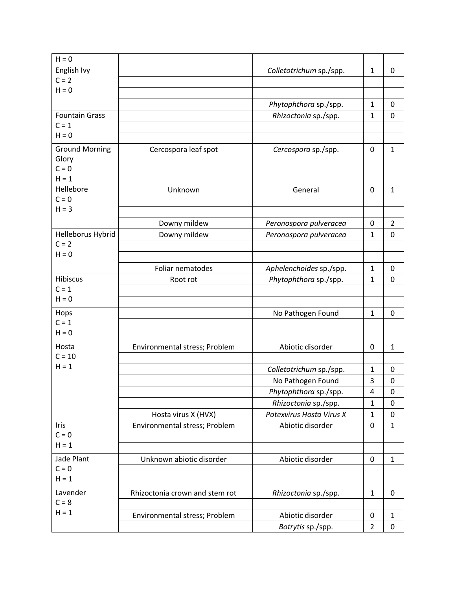| $H = 0$               |                                |                          |                |                  |
|-----------------------|--------------------------------|--------------------------|----------------|------------------|
| English Ivy           |                                | Colletotrichum sp./spp.  | 1              | 0                |
| $C = 2$               |                                |                          |                |                  |
| $H = 0$               |                                |                          |                |                  |
|                       |                                | Phytophthora sp./spp.    | $\mathbf{1}$   | 0                |
| <b>Fountain Grass</b> |                                | Rhizoctonia sp./spp.     | $\mathbf{1}$   | $\mathbf 0$      |
| $C = 1$               |                                |                          |                |                  |
| $H = 0$               |                                |                          |                |                  |
| <b>Ground Morning</b> | Cercospora leaf spot           | Cercospora sp./spp.      | $\mathbf 0$    | 1                |
| Glory                 |                                |                          |                |                  |
| $C = 0$               |                                |                          |                |                  |
| $H = 1$               |                                |                          |                |                  |
| Hellebore             | Unknown                        | General                  | 0              | $\mathbf{1}$     |
| $C = 0$               |                                |                          |                |                  |
| $H = 3$               |                                |                          |                |                  |
|                       | Downy mildew                   | Peronospora pulveracea   | $\mathbf 0$    | $\overline{2}$   |
| Helleborus Hybrid     | Downy mildew                   | Peronospora pulveracea   | 1              | 0                |
| $C = 2$               |                                |                          |                |                  |
| $H = 0$               |                                |                          |                |                  |
|                       | Foliar nematodes               | Aphelenchoides sp./spp.  | $\mathbf{1}$   | 0                |
| <b>Hibiscus</b>       | Root rot                       | Phytophthora sp./spp.    | $\mathbf{1}$   | $\mathbf 0$      |
| $C = 1$               |                                |                          |                |                  |
| $H = 0$               |                                |                          |                |                  |
| Hops                  |                                | No Pathogen Found        | 1              | 0                |
| $C = 1$               |                                |                          |                |                  |
| $H = 0$               |                                |                          |                |                  |
| Hosta                 | Environmental stress; Problem  | Abiotic disorder         | $\mathbf 0$    | $\mathbf{1}$     |
| $C = 10$              |                                |                          |                |                  |
| $H = 1$               |                                | Colletotrichum sp./spp.  | $\mathbf{1}$   | 0                |
|                       |                                | No Pathogen Found        | 3              | 0                |
|                       |                                | Phytophthora sp./spp.    | 4              | $\boldsymbol{0}$ |
|                       |                                | Rhizoctonia sp./spp.     | $\mathbf{1}$   | 0                |
|                       | Hosta virus X (HVX)            | Potexvirus Hosta Virus X | 1              | 0                |
| Iris                  | Environmental stress; Problem  | Abiotic disorder         | 0              | $\mathbf{1}$     |
| $C = 0$               |                                |                          |                |                  |
| $H = 1$               |                                |                          |                |                  |
| Jade Plant            | Unknown abiotic disorder       | Abiotic disorder         | $\pmb{0}$      | $\mathbf{1}$     |
| $C = 0$               |                                |                          |                |                  |
| $H = 1$               |                                |                          |                |                  |
| Lavender              | Rhizoctonia crown and stem rot | Rhizoctonia sp./spp.     | $\mathbf 1$    | 0                |
| $C = 8$               |                                |                          |                |                  |
| $H = 1$               | Environmental stress; Problem  | Abiotic disorder         | $\pmb{0}$      | $\mathbf{1}$     |
|                       |                                | Botrytis sp./spp.        | $\overline{c}$ | 0                |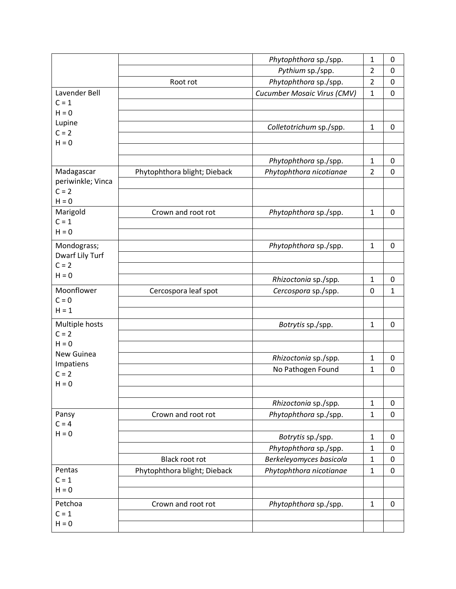|                            |                              | Phytophthora sp./spp.       | 1              | 0 |
|----------------------------|------------------------------|-----------------------------|----------------|---|
|                            |                              | Pythium sp./spp.            | $\overline{a}$ | 0 |
|                            | Root rot                     | Phytophthora sp./spp.       | $\overline{2}$ | 0 |
| Lavender Bell              |                              | Cucumber Mosaic Virus (CMV) | 1              | 0 |
| $C = 1$                    |                              |                             |                |   |
| $H = 0$                    |                              |                             |                |   |
| Lupine                     |                              | Colletotrichum sp./spp.     | 1              | 0 |
| $C = 2$                    |                              |                             |                |   |
| $H = 0$                    |                              |                             |                |   |
|                            |                              | Phytophthora sp./spp.       | 1              | 0 |
| Madagascar                 | Phytophthora blight; Dieback | Phytophthora nicotianae     | $\overline{2}$ | 0 |
| periwinkle; Vinca          |                              |                             |                |   |
| $C = 2$                    |                              |                             |                |   |
| $H = 0$                    |                              |                             |                |   |
| Marigold                   | Crown and root rot           | Phytophthora sp./spp.       | $\mathbf{1}$   | 0 |
| $C = 1$<br>$H = 0$         |                              |                             |                |   |
|                            |                              |                             |                |   |
| Mondograss;                |                              | Phytophthora sp./spp.       | 1              | 0 |
| Dwarf Lily Turf<br>$C = 2$ |                              |                             |                |   |
| $H = 0$                    |                              |                             |                |   |
|                            |                              | Rhizoctonia sp./spp.        | $\mathbf{1}$   | 0 |
| Moonflower                 | Cercospora leaf spot         | Cercospora sp./spp.         | 0              | 1 |
| $C = 0$<br>$H = 1$         |                              |                             |                |   |
|                            |                              |                             |                |   |
| Multiple hosts             |                              | Botrytis sp./spp.           | 1              | 0 |
| $C = 2$<br>$H = 0$         |                              |                             |                |   |
| New Guinea                 |                              |                             |                |   |
| Impatiens                  |                              | Rhizoctonia sp./spp.        | $\mathbf{1}$   | 0 |
| $C = 2$                    |                              | No Pathogen Found           | $\mathbf{1}$   | 0 |
| $H = 0$                    |                              |                             |                |   |
|                            |                              |                             |                |   |
|                            |                              | Rhizoctonia sp./spp.        | $\mathbf{1}$   | 0 |
| Pansy                      | Crown and root rot           | Phytophthora sp./spp.       | 1              | 0 |
| $C = 4$                    |                              |                             |                |   |
| $H = 0$                    |                              | Botrytis sp./spp.           | 1              | 0 |
|                            |                              | Phytophthora sp./spp.       | 1              | 0 |
|                            | <b>Black root rot</b>        | Berkeleyomyces basicola     | 1              | 0 |
| Pentas                     | Phytophthora blight; Dieback | Phytophthora nicotianae     | $\mathbf{1}$   | 0 |
| $C = 1$                    |                              |                             |                |   |
| $H = 0$                    |                              |                             |                |   |
| Petchoa                    | Crown and root rot           | Phytophthora sp./spp.       | $\mathbf{1}$   | 0 |
| $C = 1$                    |                              |                             |                |   |
| $H = 0$                    |                              |                             |                |   |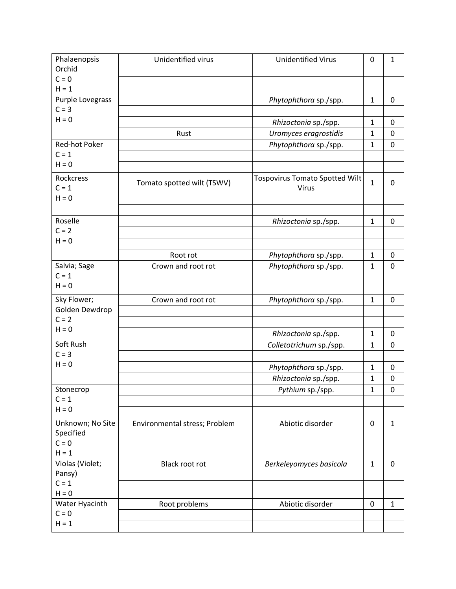| Phalaenopsis              | Unidentified virus            | <b>Unidentified Virus</b>             | 0            | $\mathbf{1}$     |
|---------------------------|-------------------------------|---------------------------------------|--------------|------------------|
| Orchid                    |                               |                                       |              |                  |
| $C = 0$                   |                               |                                       |              |                  |
| $H = 1$                   |                               |                                       |              |                  |
| Purple Lovegrass          |                               | Phytophthora sp./spp.                 | $\mathbf{1}$ | 0                |
| $C = 3$                   |                               |                                       |              |                  |
| $H = 0$                   |                               | Rhizoctonia sp./spp.                  | $\mathbf{1}$ | 0                |
|                           | Rust                          | Uromyces eragrostidis                 | $\mathbf{1}$ | 0                |
| Red-hot Poker             |                               | Phytophthora sp./spp.                 | $\mathbf{1}$ | $\mathbf 0$      |
| $C = 1$                   |                               |                                       |              |                  |
| $H = 0$                   |                               |                                       |              |                  |
| Rockcress                 |                               | <b>Tospovirus Tomato Spotted Wilt</b> |              |                  |
| $C = 1$                   | Tomato spotted wilt (TSWV)    | Virus                                 | $\mathbf{1}$ | 0                |
| $H = 0$                   |                               |                                       |              |                  |
|                           |                               |                                       |              |                  |
| Roselle                   |                               | Rhizoctonia sp./spp.                  | $\mathbf{1}$ | $\mathbf 0$      |
| $C = 2$                   |                               |                                       |              |                  |
| $H = 0$                   |                               |                                       |              |                  |
|                           | Root rot                      | Phytophthora sp./spp.                 | $\mathbf{1}$ | 0                |
| Salvia; Sage              | Crown and root rot            | Phytophthora sp./spp.                 | $\mathbf{1}$ | $\mathbf 0$      |
| $C = 1$                   |                               |                                       |              |                  |
| $H = 0$                   |                               |                                       |              |                  |
| Sky Flower;               |                               |                                       |              |                  |
| Golden Dewdrop            | Crown and root rot            | Phytophthora sp./spp.                 | $\mathbf{1}$ | 0                |
| $C = 2$                   |                               |                                       |              |                  |
| $H = 0$                   |                               |                                       |              |                  |
|                           |                               | Rhizoctonia sp./spp.                  | $\mathbf{1}$ | 0                |
| Soft Rush                 |                               | Colletotrichum sp./spp.               | $\mathbf{1}$ | 0                |
| $C = 3$<br>$H = 0$        |                               |                                       |              |                  |
|                           |                               | Phytophthora sp./spp.                 | $\mathbf{1}$ | 0                |
|                           |                               | Rhizoctonia sp./spp.                  | $\mathbf{1}$ | 0                |
| Stonecrop                 |                               | Pythium sp./spp.                      | $\mathbf{1}$ | $\boldsymbol{0}$ |
| $C = 1$                   |                               |                                       |              |                  |
| $H = 0$                   |                               |                                       |              |                  |
| Unknown; No Site          | Environmental stress; Problem | Abiotic disorder                      | $\pmb{0}$    | $\mathbf{1}$     |
| Specified                 |                               |                                       |              |                  |
| $C = 0$                   |                               |                                       |              |                  |
| $H = 1$                   |                               |                                       |              |                  |
| Violas (Violet;           | Black root rot                | Berkeleyomyces basicola               | $\mathbf{1}$ | $\mathbf 0$      |
| Pansy)                    |                               |                                       |              |                  |
| $C = 1$<br>$H = 0$        |                               |                                       |              |                  |
|                           |                               |                                       |              |                  |
| Water Hyacinth<br>$C = 0$ | Root problems                 | Abiotic disorder                      | $\pmb{0}$    | $\mathbf{1}$     |
| $H = 1$                   |                               |                                       |              |                  |
|                           |                               |                                       |              |                  |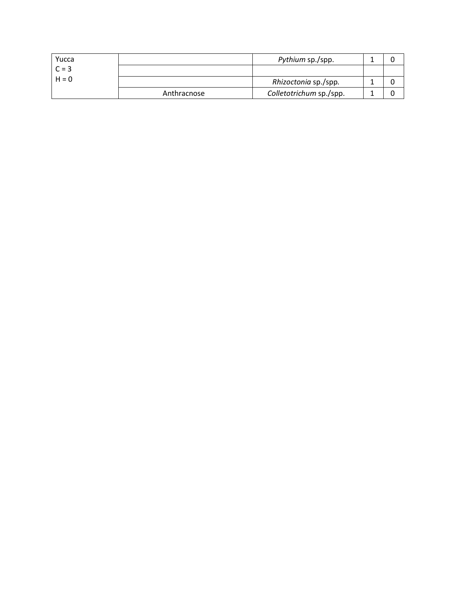| Yucca   |             | Pythium sp./spp.        |  |
|---------|-------------|-------------------------|--|
| $C = 3$ |             |                         |  |
| $H = 0$ |             | Rhizoctonia sp./spp.    |  |
|         | Anthracnose | Colletotrichum sp./spp. |  |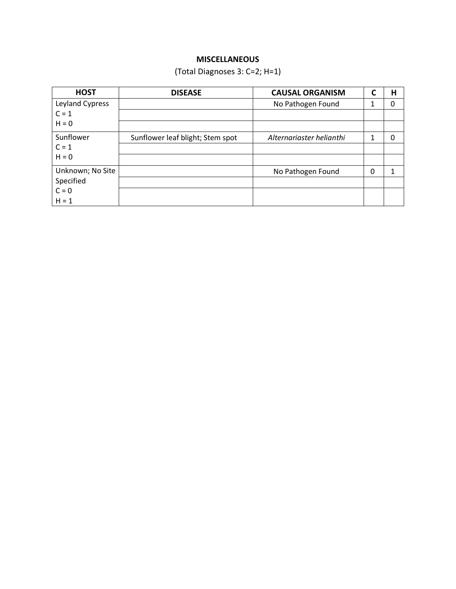## **MISCELLANEOUS**

(Total Diagnoses 3: C=2; H=1)

| <b>HOST</b>      | <b>DISEASE</b>                   | <b>CAUSAL ORGANISM</b>   | C | н |
|------------------|----------------------------------|--------------------------|---|---|
| Leyland Cypress  |                                  | No Pathogen Found        | 1 | O |
| $C = 1$          |                                  |                          |   |   |
| $H = 0$          |                                  |                          |   |   |
| Sunflower        | Sunflower leaf blight; Stem spot | Alternariaster helianthi | 1 |   |
| $C = 1$          |                                  |                          |   |   |
| $H = 0$          |                                  |                          |   |   |
| Unknown; No Site |                                  | No Pathogen Found        | 0 |   |
| Specified        |                                  |                          |   |   |
| $C = 0$          |                                  |                          |   |   |
| $H = 1$          |                                  |                          |   |   |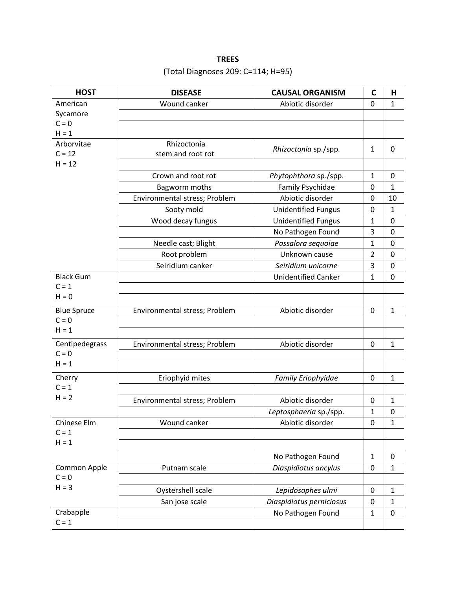# **TREES** (Total Diagnoses 209: C=114; H=95)

| <b>HOST</b>            | <b>DISEASE</b>                   | <b>CAUSAL ORGANISM</b>     | C              | Н            |
|------------------------|----------------------------------|----------------------------|----------------|--------------|
| American               | Wound canker                     | Abiotic disorder           | 0              | $\mathbf{1}$ |
| Sycamore               |                                  |                            |                |              |
| $C = 0$                |                                  |                            |                |              |
| $H = 1$                |                                  |                            |                |              |
| Arborvitae<br>$C = 12$ | Rhizoctonia<br>stem and root rot | Rhizoctonia sp./spp.       | 1              | 0            |
| $H = 12$               |                                  |                            |                |              |
|                        | Crown and root rot               | Phytophthora sp./spp.      | $\mathbf{1}$   | 0            |
|                        | Bagworm moths                    | Family Psychidae           | 0              | $\mathbf{1}$ |
|                        | Environmental stress; Problem    | Abiotic disorder           | 0              | 10           |
|                        | Sooty mold                       | <b>Unidentified Fungus</b> | 0              | $\mathbf{1}$ |
|                        | Wood decay fungus                | <b>Unidentified Fungus</b> | $\mathbf{1}$   | 0            |
|                        |                                  | No Pathogen Found          | 3              | 0            |
|                        | Needle cast; Blight              | Passalora sequoiae         | $\mathbf{1}$   | 0            |
|                        | Root problem                     | Unknown cause              | $\overline{2}$ | 0            |
|                        | Seiridium canker                 | Seiridium unicorne         | 3              | 0            |
| <b>Black Gum</b>       |                                  | <b>Unidentified Canker</b> | $\mathbf{1}$   | 0            |
| $C = 1$                |                                  |                            |                |              |
| $H = 0$                |                                  |                            |                |              |
| <b>Blue Spruce</b>     | Environmental stress; Problem    | Abiotic disorder           | $\mathbf 0$    | $\mathbf{1}$ |
| $C = 0$                |                                  |                            |                |              |
| $H = 1$                |                                  |                            |                |              |
| Centipedegrass         | Environmental stress; Problem    | Abiotic disorder           | 0              | $\mathbf{1}$ |
| $C = 0$                |                                  |                            |                |              |
| $H = 1$                |                                  |                            |                |              |
| Cherry                 | Eriophyid mites                  | Family Eriophyidae         | 0              | $\mathbf{1}$ |
| $C = 1$                |                                  |                            |                |              |
| $H = 2$                | Environmental stress; Problem    | Abiotic disorder           | 0              | $\mathbf{1}$ |
|                        |                                  | Leptosphaeria sp./spp.     | 1              | 0            |
| Chinese Elm            | Wound canker                     | Abiotic disorder           | $\pmb{0}$      | 1            |
| $C = 1$                |                                  |                            |                |              |
| $H = 1$                |                                  |                            |                |              |
|                        |                                  | No Pathogen Found          | $\mathbf{1}$   | 0            |
| Common Apple           | Putnam scale                     | Diaspidiotus ancylus       | 0              | $\mathbf{1}$ |
| $C = 0$                |                                  |                            |                |              |
| $H = 3$                | Oystershell scale                | Lepidosaphes ulmi          | 0              | $\mathbf{1}$ |
|                        | San jose scale                   | Diaspidiotus perniciosus   | 0              | $\mathbf{1}$ |
| Crabapple              |                                  | No Pathogen Found          | 1              | 0            |
| $C = 1$                |                                  |                            |                |              |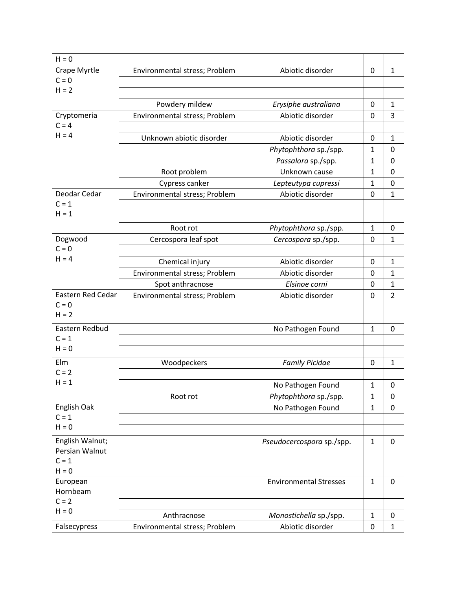| $H = 0$                                  |                               |                               |              |                |
|------------------------------------------|-------------------------------|-------------------------------|--------------|----------------|
| Crape Myrtle                             | Environmental stress; Problem | Abiotic disorder              | 0            | $\mathbf{1}$   |
| $C = 0$                                  |                               |                               |              |                |
| $H = 2$                                  |                               |                               |              |                |
|                                          | Powdery mildew                | Erysiphe australiana          | 0            | $\mathbf{1}$   |
| Cryptomeria                              | Environmental stress; Problem | Abiotic disorder              | 0            | 3              |
| $C = 4$                                  |                               |                               |              |                |
| $H = 4$                                  | Unknown abiotic disorder      | Abiotic disorder              | 0            | $\mathbf{1}$   |
|                                          |                               | Phytophthora sp./spp.         | $\mathbf{1}$ | $\mathbf 0$    |
|                                          |                               | Passalora sp./spp.            | $\mathbf{1}$ | 0              |
|                                          | Root problem                  | Unknown cause                 | $\mathbf{1}$ | $\mathbf 0$    |
|                                          | Cypress canker                | Lepteutypa cupressi           | 1            | 0              |
| Deodar Cedar                             | Environmental stress; Problem | Abiotic disorder              | $\mathbf 0$  | $\mathbf 1$    |
| $C = 1$                                  |                               |                               |              |                |
| $H = 1$                                  |                               |                               |              |                |
|                                          | Root rot                      | Phytophthora sp./spp.         | $\mathbf{1}$ | 0              |
| Dogwood                                  | Cercospora leaf spot          | Cercospora sp./spp.           | 0            | $\mathbf{1}$   |
| $C = 0$                                  |                               |                               |              |                |
| $H = 4$                                  | Chemical injury               | Abiotic disorder              | 0            | $\mathbf{1}$   |
|                                          | Environmental stress; Problem | Abiotic disorder              | 0            | $\mathbf{1}$   |
|                                          | Spot anthracnose              | Elsinoe corni                 | 0            | $\mathbf 1$    |
| Eastern Red Cedar                        | Environmental stress; Problem | Abiotic disorder              | 0            | $\overline{2}$ |
| $C = 0$                                  |                               |                               |              |                |
| $H = 2$                                  |                               |                               |              |                |
| Eastern Redbud                           |                               | No Pathogen Found             | $\mathbf{1}$ | 0              |
| $C = 1$                                  |                               |                               |              |                |
| $H = 0$                                  |                               |                               |              |                |
| Elm                                      | Woodpeckers                   | <b>Family Picidae</b>         | 0            | $\mathbf{1}$   |
| $C = 2$<br>$H = 1$                       |                               |                               |              |                |
|                                          |                               | No Pathogen Found             | $\mathbf 1$  | 0              |
|                                          | Root rot                      | Phytophthora sp./spp.         | $\mathbf{1}$ | $\mathbf 0$    |
| English Oak<br>$C = 1$                   |                               | No Pathogen Found             | $\mathbf{1}$ | $\pmb{0}$      |
| $H = 0$                                  |                               |                               |              |                |
|                                          |                               |                               |              |                |
| English Walnut;<br><b>Persian Walnut</b> |                               | Pseudocercospora sp./spp.     | $\mathbf{1}$ | 0              |
| $C = 1$                                  |                               |                               |              |                |
| $H = 0$                                  |                               |                               |              |                |
| European                                 |                               | <b>Environmental Stresses</b> | $\mathbf{1}$ | 0              |
| Hornbeam                                 |                               |                               |              |                |
| $C = 2$                                  |                               |                               |              |                |
| $H = 0$                                  | Anthracnose                   | Monostichella sp./spp.        | $\mathbf{1}$ | 0              |
| Falsecypress                             | Environmental stress; Problem | Abiotic disorder              | 0            | $\mathbf{1}$   |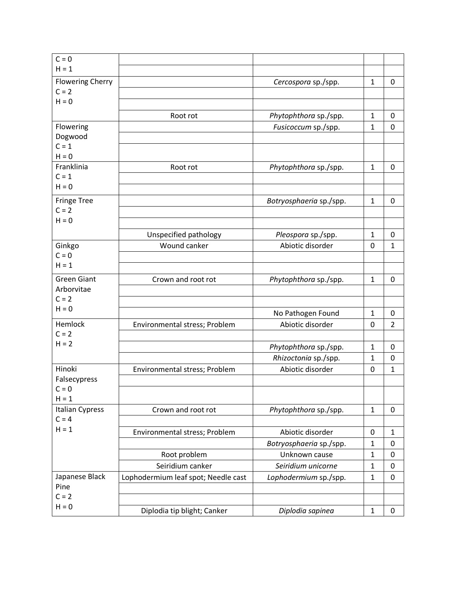| $C = 0$                           |                                       |                                        |                |                   |
|-----------------------------------|---------------------------------------|----------------------------------------|----------------|-------------------|
| $H = 1$                           |                                       |                                        |                |                   |
| <b>Flowering Cherry</b>           |                                       | Cercospora sp./spp.                    | $\mathbf{1}$   | 0                 |
| $C = 2$                           |                                       |                                        |                |                   |
| $H = 0$                           |                                       |                                        |                |                   |
|                                   | Root rot                              | Phytophthora sp./spp.                  | $\mathbf{1}$   | 0                 |
| Flowering                         |                                       | Fusicoccum sp./spp.                    | $\mathbf{1}$   | 0                 |
| Dogwood                           |                                       |                                        |                |                   |
| $C = 1$                           |                                       |                                        |                |                   |
| $H = 0$                           |                                       |                                        |                |                   |
| Franklinia                        | Root rot                              | Phytophthora sp./spp.                  | $\mathbf{1}$   | 0                 |
| $C = 1$<br>$H = 0$                |                                       |                                        |                |                   |
|                                   |                                       |                                        |                |                   |
| <b>Fringe Tree</b><br>$C = 2$     |                                       | Botryosphaeria sp./spp.                | $\mathbf{1}$   | 0                 |
| $H = 0$                           |                                       |                                        |                |                   |
|                                   |                                       |                                        |                |                   |
|                                   | Unspecified pathology<br>Wound canker | Pleospora sp./spp.<br>Abiotic disorder | $\mathbf{1}$   | 0<br>$\mathbf{1}$ |
| Ginkgo<br>$C = 0$                 |                                       |                                        | 0              |                   |
| $H = 1$                           |                                       |                                        |                |                   |
| <b>Green Giant</b>                | Crown and root rot                    | Phytophthora sp./spp.                  | $\mathbf{1}$   | 0                 |
| Arborvitae                        |                                       |                                        |                |                   |
| $C = 2$                           |                                       |                                        |                |                   |
| $H = 0$                           |                                       | No Pathogen Found                      | $\mathbf{1}$   | 0                 |
| Hemlock                           | Environmental stress; Problem         | Abiotic disorder                       | $\overline{0}$ | $\overline{2}$    |
| $C = 2$                           |                                       |                                        |                |                   |
| $H = 2$                           |                                       | Phytophthora sp./spp.                  | $\mathbf{1}$   | 0                 |
|                                   |                                       | Rhizoctonia sp./spp.                   | $\mathbf{1}$   | 0                 |
| Hinoki                            | Environmental stress; Problem         | Abiotic disorder                       | $\mathbf 0$    | $\mathbf{1}$      |
| Falsecypress                      |                                       |                                        |                |                   |
| $C = 0$                           |                                       |                                        |                |                   |
| $H = 1$<br><b>Italian Cypress</b> | Crown and root rot                    | Phytophthora sp./spp.                  | $\mathbf{1}$   | $\mathbf 0$       |
| $C = 4$                           |                                       |                                        |                |                   |
| $H = 1$                           | Environmental stress; Problem         | Abiotic disorder                       | $\pmb{0}$      | $\mathbf{1}$      |
|                                   |                                       | Botryosphaeria sp./spp.                | $\mathbf{1}$   | 0                 |
|                                   | Root problem                          | Unknown cause                          | $\mathbf{1}$   | $\mathbf 0$       |
|                                   | Seiridium canker                      | Seiridium unicorne                     | $\mathbf{1}$   | $\pmb{0}$         |
| Japanese Black                    | Lophodermium leaf spot; Needle cast   | Lophodermium sp./spp.                  | $\mathbf{1}$   | $\pmb{0}$         |
| Pine                              |                                       |                                        |                |                   |
| $C = 2$                           |                                       |                                        |                |                   |
| $H = 0$                           | Diplodia tip blight; Canker           | Diplodia sapinea                       | $\mathbf{1}$   | $\pmb{0}$         |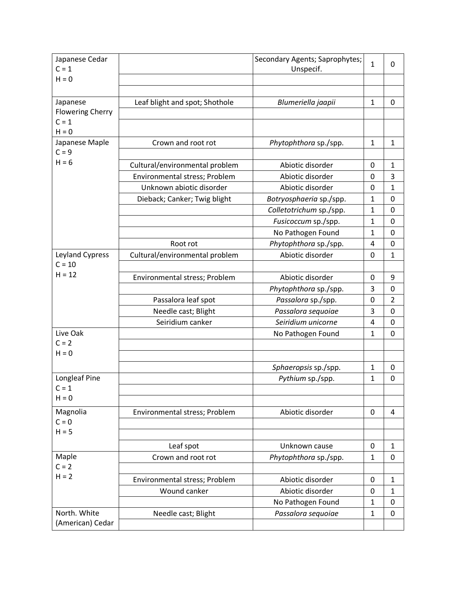| Japanese Cedar          |                                | Secondary Agents; Saprophytes; | $\mathbf{1}$ | 0              |
|-------------------------|--------------------------------|--------------------------------|--------------|----------------|
| $C = 1$                 |                                | Unspecif.                      |              |                |
| $H = 0$                 |                                |                                |              |                |
|                         |                                |                                |              |                |
| Japanese                | Leaf blight and spot; Shothole | Blumeriella jaapii             | $\mathbf{1}$ | $\mathbf 0$    |
| <b>Flowering Cherry</b> |                                |                                |              |                |
| $C = 1$                 |                                |                                |              |                |
| $H = 0$                 |                                |                                |              |                |
| Japanese Maple          | Crown and root rot             | Phytophthora sp./spp.          | $\mathbf{1}$ | $\mathbf{1}$   |
| $C = 9$                 |                                |                                |              |                |
| $H = 6$                 | Cultural/environmental problem | Abiotic disorder               | 0            | $\mathbf{1}$   |
|                         | Environmental stress; Problem  | Abiotic disorder               | 0            | 3              |
|                         | Unknown abiotic disorder       | Abiotic disorder               | 0            | $\mathbf{1}$   |
|                         | Dieback; Canker; Twig blight   | Botryosphaeria sp./spp.        | $\mathbf{1}$ | 0              |
|                         |                                | Colletotrichum sp./spp.        | $\mathbf{1}$ | 0              |
|                         |                                | Fusicoccum sp./spp.            | $\mathbf{1}$ | $\mathbf 0$    |
|                         |                                | No Pathogen Found              | 1            | 0              |
|                         | Root rot                       | Phytophthora sp./spp.          | 4            | 0              |
| Leyland Cypress         | Cultural/environmental problem | Abiotic disorder               | 0            | $\mathbf{1}$   |
| $C = 10$                |                                |                                |              |                |
| $H = 12$                | Environmental stress; Problem  | Abiotic disorder               | 0            | 9              |
|                         |                                | Phytophthora sp./spp.          | 3            | 0              |
|                         | Passalora leaf spot            | Passalora sp./spp.             | 0            | $\overline{2}$ |
|                         | Needle cast; Blight            | Passalora sequoiae             | 3            | 0              |
|                         | Seiridium canker               | Seiridium unicorne             | 4            | 0              |
| Live Oak                |                                | No Pathogen Found              | $\mathbf{1}$ | $\mathbf 0$    |
| $C = 2$                 |                                |                                |              |                |
| $H = 0$                 |                                |                                |              |                |
|                         |                                | Sphaeropsis sp./spp.           | $\mathbf{1}$ | 0              |
| Longleaf Pine           |                                | Pythium sp./spp.               | $\mathbf{1}$ | 0              |
| $C = 1$                 |                                |                                |              |                |
| $H = 0$                 |                                |                                |              |                |
|                         |                                |                                |              |                |
| Magnolia<br>$C = 0$     | Environmental stress; Problem  | Abiotic disorder               | 0            | 4              |
| $H = 5$                 |                                |                                |              |                |
|                         |                                |                                |              |                |
|                         | Leaf spot                      | Unknown cause                  | 0            | $\mathbf{1}$   |
| Maple                   | Crown and root rot             | Phytophthora sp./spp.          | $\mathbf{1}$ | 0              |
| $C = 2$                 |                                |                                |              |                |
| $H = 2$                 | Environmental stress; Problem  | Abiotic disorder               | 0            | $\mathbf{1}$   |
|                         | Wound canker                   | Abiotic disorder               | 0            | $\mathbf{1}$   |
|                         |                                | No Pathogen Found              | $\mathbf{1}$ | $\pmb{0}$      |
| North. White            | Needle cast; Blight            | Passalora sequoiae             | $\mathbf{1}$ | $\pmb{0}$      |
| (American) Cedar        |                                |                                |              |                |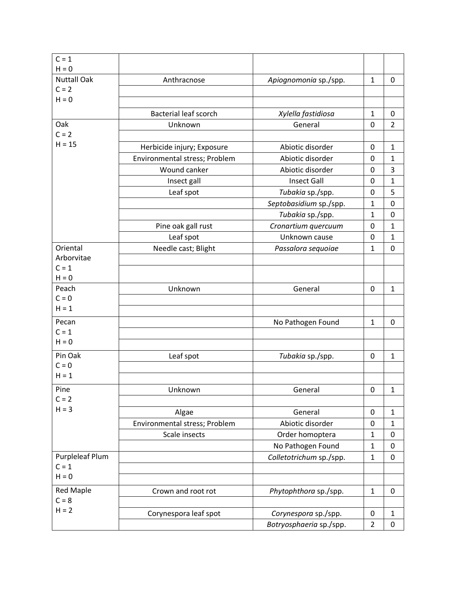| $C = 1$            |                               |                         |                |                |
|--------------------|-------------------------------|-------------------------|----------------|----------------|
| $H = 0$            |                               |                         |                |                |
| <b>Nuttall Oak</b> | Anthracnose                   | Apiognomonia sp./spp.   | $\mathbf{1}$   | 0              |
| $C = 2$            |                               |                         |                |                |
| $H = 0$            |                               |                         |                |                |
|                    | <b>Bacterial leaf scorch</b>  | Xylella fastidiosa      | $\mathbf{1}$   | 0              |
| Oak                | Unknown                       | General                 | $\mathbf 0$    | $\overline{2}$ |
| $C = 2$            |                               |                         |                |                |
| $H = 15$           | Herbicide injury; Exposure    | Abiotic disorder        | 0              | $\mathbf{1}$   |
|                    | Environmental stress; Problem | Abiotic disorder        | 0              | $\mathbf{1}$   |
|                    | Wound canker                  | Abiotic disorder        | 0              | 3              |
|                    | Insect gall                   | <b>Insect Gall</b>      | 0              | $\mathbf{1}$   |
|                    | Leaf spot                     | Tubakia sp./spp.        | 0              | 5              |
|                    |                               | Septobasidium sp./spp.  | $\mathbf{1}$   | $\mathbf 0$    |
|                    |                               | Tubakia sp./spp.        | $\mathbf{1}$   | $\mathbf 0$    |
|                    | Pine oak gall rust            | Cronartium quercuum     | 0              | $\mathbf{1}$   |
|                    | Leaf spot                     | Unknown cause           | 0              | $\mathbf{1}$   |
| Oriental           | Needle cast; Blight           | Passalora sequoiae      | $\mathbf{1}$   | $\mathbf 0$    |
| Arborvitae         |                               |                         |                |                |
| $C = 1$            |                               |                         |                |                |
| $H = 0$            |                               |                         |                |                |
| Peach              | Unknown                       | General                 | 0              | $\mathbf{1}$   |
| $C = 0$            |                               |                         |                |                |
| $H = 1$            |                               |                         |                |                |
| Pecan              |                               | No Pathogen Found       | $\mathbf{1}$   | 0              |
| $C = 1$            |                               |                         |                |                |
| $H = 0$            |                               |                         |                |                |
| Pin Oak            | Leaf spot                     | Tubakia sp./spp.        | 0              | $\mathbf{1}$   |
| $C = 0$            |                               |                         |                |                |
| $H = 1$            |                               |                         |                |                |
| Pine               | Unknown                       | General                 | $\pmb{0}$      | $\mathbf{1}$   |
| $C = 2$            |                               |                         |                |                |
| $H = 3$            | Algae                         | General                 | 0              | $\mathbf{1}$   |
|                    | Environmental stress; Problem | Abiotic disorder        | $\pmb{0}$      | $\mathbf{1}$   |
|                    | Scale insects                 | Order homoptera         | $\mathbf{1}$   | $\pmb{0}$      |
|                    |                               | No Pathogen Found       | $\mathbf{1}$   | $\pmb{0}$      |
| Purpleleaf Plum    |                               | Colletotrichum sp./spp. | $\mathbf{1}$   | $\mathbf 0$    |
| $C = 1$            |                               |                         |                |                |
| $H = 0$            |                               |                         |                |                |
| <b>Red Maple</b>   | Crown and root rot            | Phytophthora sp./spp.   | $\mathbf{1}$   | $\mathbf 0$    |
| $C = 8$            |                               |                         |                |                |
| $H = 2$            | Corynespora leaf spot         | Corynespora sp./spp.    | 0              | $\mathbf{1}$   |
|                    |                               | Botryosphaeria sp./spp. | $\overline{2}$ | 0              |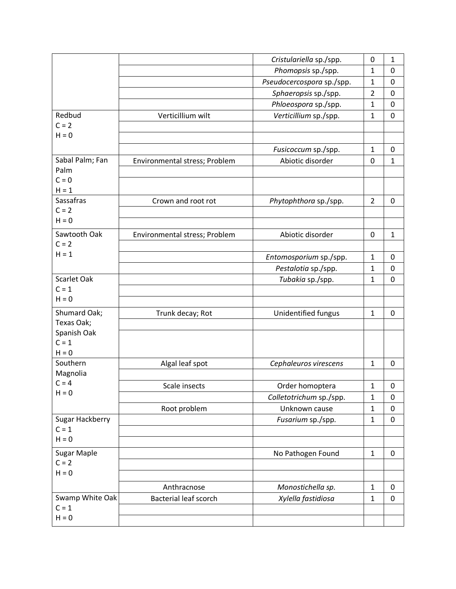|                               |                               | Cristulariella sp./spp.   | 0                            | $\mathbf{1}$     |
|-------------------------------|-------------------------------|---------------------------|------------------------------|------------------|
|                               |                               | Phomopsis sp./spp.        | $\mathbf{1}$                 | 0                |
|                               |                               | Pseudocercospora sp./spp. | $\mathbf{1}$                 | 0                |
|                               |                               | Sphaeropsis sp./spp.      | $\overline{2}$               | $\mathbf 0$      |
|                               |                               | Phloeospora sp./spp.      | $\mathbf{1}$                 | 0                |
| Redbud                        | Verticillium wilt             | Verticillium sp./spp.     | $\mathbf{1}$                 | $\mathbf 0$      |
| $C = 2$                       |                               |                           |                              |                  |
| $H = 0$                       |                               |                           |                              |                  |
|                               |                               | Fusicoccum sp./spp.       | $\mathbf{1}$                 | 0                |
| Sabal Palm; Fan               | Environmental stress; Problem | Abiotic disorder          | 0                            | $\mathbf{1}$     |
| Palm                          |                               |                           |                              |                  |
| $C = 0$                       |                               |                           |                              |                  |
| $H = 1$                       |                               |                           |                              |                  |
| Sassafras<br>$C = 2$          | Crown and root rot            | Phytophthora sp./spp.     | $\overline{2}$               | 0                |
| $H = 0$                       |                               |                           |                              |                  |
| Sawtooth Oak                  |                               | Abiotic disorder          |                              | $\mathbf{1}$     |
| $C = 2$                       | Environmental stress; Problem |                           | 0                            |                  |
| $H = 1$                       |                               | Entomosporium sp./spp.    | $\mathbf{1}$                 | 0                |
|                               |                               | Pestalotia sp./spp.       | $\mathbf{1}$                 | $\pmb{0}$        |
| Scarlet Oak                   |                               | Tubakia sp./spp.          | $\mathbf{1}$                 | $\mathbf 0$      |
| $C = 1$                       |                               |                           |                              |                  |
| $H = 0$                       |                               |                           |                              |                  |
| Shumard Oak;                  | Trunk decay; Rot              | Unidentified fungus       | $\mathbf{1}$                 | 0                |
| Texas Oak;                    |                               |                           |                              |                  |
| Spanish Oak                   |                               |                           |                              |                  |
| $C = 1$                       |                               |                           |                              |                  |
| $H = 0$                       |                               |                           |                              |                  |
| Southern                      | Algal leaf spot               | Cephaleuros virescens     | $\mathbf{1}$                 | 0                |
| Magnolia<br>$C = 4$           |                               |                           |                              |                  |
| $H = 0$                       | Scale insects                 | Order homoptera           | $\mathbf{1}$                 | 0                |
|                               |                               | Colletotrichum sp./spp.   | $\mathbf{1}$                 | $\pmb{0}$        |
|                               | Root problem                  | Unknown cause             | $\mathbf{1}$                 | $\mathbf 0$      |
| Sugar Hackberry<br>$C = 1$    |                               | Fusarium sp./spp.         | $\mathbf{1}$                 | $\pmb{0}$        |
| $H = 0$                       |                               |                           |                              |                  |
|                               |                               |                           |                              |                  |
| <b>Sugar Maple</b><br>$C = 2$ |                               | No Pathogen Found         | $\mathbf{1}$                 | $\mathbf 0$      |
| $H = 0$                       |                               |                           |                              |                  |
|                               |                               |                           |                              |                  |
| Swamp White Oak               | Anthracnose                   | Monostichella sp.         | $\mathbf{1}$<br>$\mathbf{1}$ | 0<br>$\mathbf 0$ |
| $C = 1$                       | <b>Bacterial leaf scorch</b>  | Xylella fastidiosa        |                              |                  |
| $H = 0$                       |                               |                           |                              |                  |
|                               |                               |                           |                              |                  |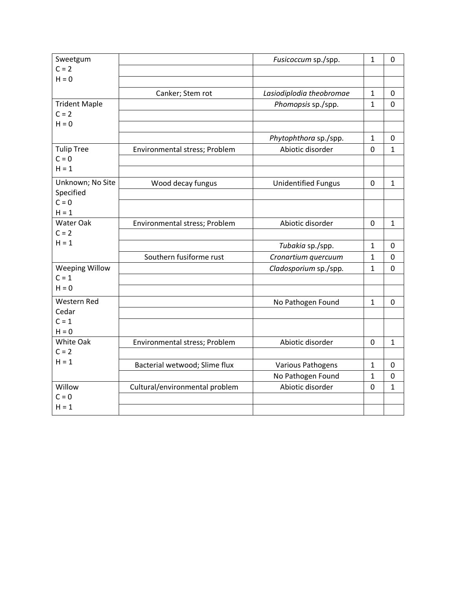| Sweetgum                         |                                | Fusicoccum sp./spp.        | $\mathbf{1}$ | 0            |
|----------------------------------|--------------------------------|----------------------------|--------------|--------------|
| $C = 2$                          |                                |                            |              |              |
| $H = 0$                          |                                |                            |              |              |
|                                  | Canker; Stem rot               | Lasiodiplodia theobromae   | $\mathbf{1}$ | 0            |
| <b>Trident Maple</b>             |                                | Phomopsis sp./spp.         | $\mathbf{1}$ | $\mathbf 0$  |
| $C = 2$                          |                                |                            |              |              |
| $H = 0$                          |                                |                            |              |              |
|                                  |                                | Phytophthora sp./spp.      | $\mathbf{1}$ | 0            |
| <b>Tulip Tree</b>                | Environmental stress; Problem  | Abiotic disorder           | $\mathbf 0$  | $\mathbf 1$  |
| $C = 0$                          |                                |                            |              |              |
| $H = 1$                          |                                |                            |              |              |
| Unknown; No Site                 | Wood decay fungus              | <b>Unidentified Fungus</b> | $\mathbf 0$  | $\mathbf{1}$ |
| Specified                        |                                |                            |              |              |
| $C = 0$                          |                                |                            |              |              |
| $H = 1$                          |                                |                            |              |              |
| Water Oak<br>$C = 2$             | Environmental stress; Problem  | Abiotic disorder           | 0            | $\mathbf{1}$ |
| $H = 1$                          |                                |                            |              |              |
|                                  |                                | Tubakia sp./spp.           | $\mathbf{1}$ | 0            |
|                                  | Southern fusiforme rust        | Cronartium quercuum        | $\mathbf{1}$ | 0            |
| <b>Weeping Willow</b><br>$C = 1$ |                                | Cladosporium sp./spp.      | $\mathbf{1}$ | 0            |
| $H = 0$                          |                                |                            |              |              |
|                                  |                                |                            |              |              |
| Western Red<br>Cedar             |                                | No Pathogen Found          | $\mathbf{1}$ | 0            |
| $C = 1$                          |                                |                            |              |              |
| $H = 0$                          |                                |                            |              |              |
| White Oak                        | Environmental stress; Problem  | Abiotic disorder           | 0            | $\mathbf{1}$ |
| $C = 2$                          |                                |                            |              |              |
| $H = 1$                          | Bacterial wetwood; Slime flux  | Various Pathogens          | $\mathbf{1}$ | 0            |
|                                  |                                | No Pathogen Found          | $\mathbf{1}$ | 0            |
| Willow                           | Cultural/environmental problem | Abiotic disorder           | 0            | $\mathbf{1}$ |
| $C = 0$                          |                                |                            |              |              |
| $H = 1$                          |                                |                            |              |              |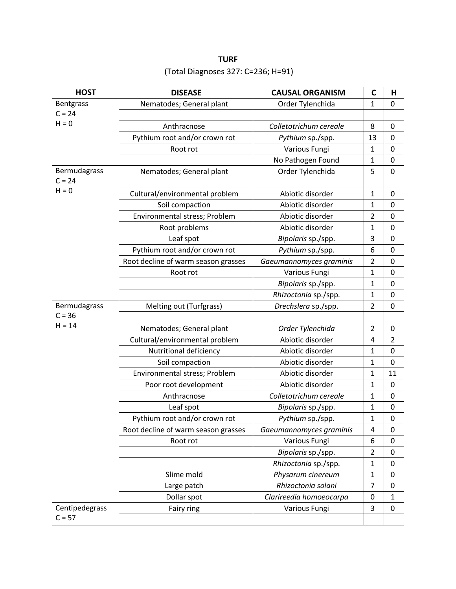# **TURF** (Total Diagnoses 327: C=236; H=91)

| <b>HOST</b>    | <b>DISEASE</b>                      | <b>CAUSAL ORGANISM</b>  | $\mathbf C$    | Н              |
|----------------|-------------------------------------|-------------------------|----------------|----------------|
| Bentgrass      | Nematodes; General plant            | Order Tylenchida        | $\mathbf{1}$   | 0              |
| $C = 24$       |                                     |                         |                |                |
| $H = 0$        | Anthracnose                         | Colletotrichum cereale  | 8              | 0              |
|                | Pythium root and/or crown rot       | Pythium sp./spp.        | 13             | 0              |
|                | Root rot                            | Various Fungi           | 1              | 0              |
|                |                                     | No Pathogen Found       | $\mathbf{1}$   | 0              |
| Bermudagrass   | Nematodes; General plant            | Order Tylenchida        | 5              | 0              |
| $C = 24$       |                                     |                         |                |                |
| $H = 0$        | Cultural/environmental problem      | Abiotic disorder        | 1              | 0              |
|                | Soil compaction                     | Abiotic disorder        | $\mathbf{1}$   | 0              |
|                | Environmental stress; Problem       | Abiotic disorder        | $\overline{2}$ | 0              |
|                | Root problems                       | Abiotic disorder        | 1              | 0              |
|                | Leaf spot                           | Bipolaris sp./spp.      | 3              | 0              |
|                | Pythium root and/or crown rot       | Pythium sp./spp.        | 6              | 0              |
|                | Root decline of warm season grasses | Gaeumannomyces graminis | $\overline{2}$ | 0              |
|                | Root rot                            | Various Fungi           | $\mathbf{1}$   | 0              |
|                |                                     | Bipolaris sp./spp.      | $\mathbf{1}$   | $\pmb{0}$      |
|                |                                     | Rhizoctonia sp./spp.    | $\mathbf{1}$   | 0              |
| Bermudagrass   | Melting out (Turfgrass)             | Drechslera sp./spp.     | $\overline{2}$ | 0              |
| $C = 36$       |                                     |                         |                |                |
| $H = 14$       | Nematodes; General plant            | Order Tylenchida        | $\overline{2}$ | $\pmb{0}$      |
|                | Cultural/environmental problem      | Abiotic disorder        | 4              | $\overline{2}$ |
|                | Nutritional deficiency              | Abiotic disorder        | 1              | 0              |
|                | Soil compaction                     | Abiotic disorder        | $\mathbf{1}$   | 0              |
|                | Environmental stress; Problem       | Abiotic disorder        | 1              | 11             |
|                | Poor root development               | Abiotic disorder        | 1              | 0              |
|                | Anthracnose                         | Colletotrichum cereale  | 1              | 0              |
|                | Leaf spot                           | Bipolaris sp./spp.      | $\mathbf{1}$   | 0              |
|                | Pythium root and/or crown rot       | Pythium sp./spp.        | 1              | 0              |
|                | Root decline of warm season grasses | Gaeumannomyces graminis | 4              | 0              |
|                | Root rot                            | Various Fungi           | 6              | 0              |
|                |                                     | Bipolaris sp./spp.      | $\overline{2}$ | 0              |
|                |                                     | Rhizoctonia sp./spp.    | $\mathbf{1}$   | 0              |
|                | Slime mold                          | Physarum cinereum       | $\mathbf{1}$   | 0              |
|                | Large patch                         | Rhizoctonia solani      | 7              | 0              |
|                | Dollar spot                         | Clarireedia homoeocarpa | 0              | $\mathbf{1}$   |
| Centipedegrass | Fairy ring                          | Various Fungi           | 3              | 0              |
| $C = 57$       |                                     |                         |                |                |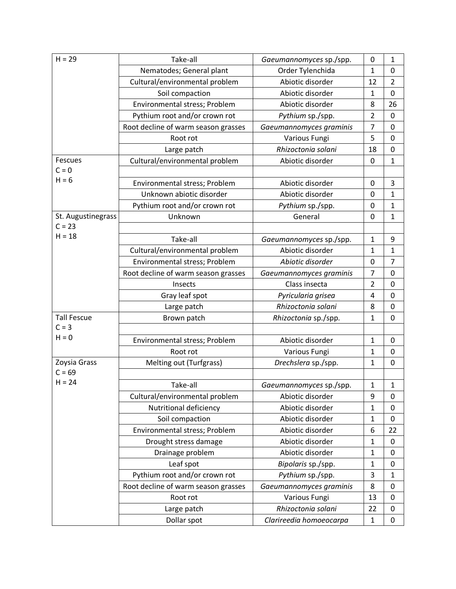| $H = 29$           | Take-all                            | Gaeumannomyces sp./spp. | 0              | $\mathbf{1}$   |
|--------------------|-------------------------------------|-------------------------|----------------|----------------|
|                    | Nematodes; General plant            | Order Tylenchida        | $\mathbf{1}$   | $\mathbf 0$    |
|                    | Cultural/environmental problem      | Abiotic disorder        | 12             | $\overline{2}$ |
|                    | Soil compaction                     | Abiotic disorder        | $\mathbf{1}$   | $\mathbf 0$    |
|                    | Environmental stress; Problem       | Abiotic disorder        | 8              | 26             |
|                    | Pythium root and/or crown rot       | Pythium sp./spp.        | $\overline{2}$ | $\mathbf 0$    |
|                    | Root decline of warm season grasses | Gaeumannomyces graminis | $\overline{7}$ | $\pmb{0}$      |
|                    | Root rot                            | Various Fungi           | 5              | $\mathbf 0$    |
|                    | Large patch                         | Rhizoctonia solani      | 18             | $\mathbf 0$    |
| Fescues            | Cultural/environmental problem      | Abiotic disorder        | 0              | $\mathbf{1}$   |
| $C = 0$            |                                     |                         |                |                |
| $H = 6$            | Environmental stress; Problem       | Abiotic disorder        | 0              | 3              |
|                    | Unknown abiotic disorder            | Abiotic disorder        | 0              | $\mathbf{1}$   |
|                    | Pythium root and/or crown rot       | Pythium sp./spp.        | 0              | $\mathbf{1}$   |
| St. Augustinegrass | Unknown                             | General                 | 0              | $\mathbf{1}$   |
| $C = 23$           |                                     |                         |                |                |
| $H = 18$           | Take-all                            | Gaeumannomyces sp./spp. | $\mathbf{1}$   | 9              |
|                    | Cultural/environmental problem      | Abiotic disorder        | 1              | $\mathbf{1}$   |
|                    | Environmental stress; Problem       | Abiotic disorder        | 0              | $\overline{7}$ |
|                    | Root decline of warm season grasses | Gaeumannomyces graminis | 7              | $\pmb{0}$      |
|                    | Insects                             | Class insecta           | $\overline{2}$ | $\mathbf 0$    |
|                    | Gray leaf spot                      | Pyricularia grisea      | 4              | 0              |
|                    | Large patch                         | Rhizoctonia solani      | 8              | $\mathbf 0$    |
| <b>Tall Fescue</b> | Brown patch                         | Rhizoctonia sp./spp.    | $\mathbf{1}$   | $\pmb{0}$      |
| $C = 3$            |                                     |                         |                |                |
| $H = 0$            | Environmental stress; Problem       | Abiotic disorder        | $\mathbf{1}$   | 0              |
|                    | Root rot                            | Various Fungi           | $\mathbf{1}$   | $\mathbf 0$    |
| Zoysia Grass       | Melting out (Turfgrass)             | Drechslera sp./spp.     | $\mathbf{1}$   | 0              |
| $C = 69$           |                                     |                         |                |                |
| $H = 24$           | Take-all                            | Gaeumannomyces sp./spp. | $\mathbf{1}$   | $\mathbf{1}$   |
|                    | Cultural/environmental problem      | Abiotic disorder        | 9              | $\mathbf 0$    |
|                    | Nutritional deficiency              | Abiotic disorder        | $\mathbf{1}$   | 0              |
|                    | Soil compaction                     | Abiotic disorder        | $\mathbf{1}$   | $\pmb{0}$      |
|                    | Environmental stress; Problem       | Abiotic disorder        | 6              | 22             |
|                    | Drought stress damage               | Abiotic disorder        | $\mathbf{1}$   | 0              |
|                    | Drainage problem                    | Abiotic disorder        | $\mathbf{1}$   | 0              |
|                    | Leaf spot                           | Bipolaris sp./spp.      | $\mathbf{1}$   | $\pmb{0}$      |
|                    | Pythium root and/or crown rot       | Pythium sp./spp.        | 3              | $\mathbf{1}$   |
|                    | Root decline of warm season grasses | Gaeumannomyces graminis | 8              | 0              |
|                    | Root rot                            | Various Fungi           | 13             | 0              |
|                    | Large patch                         | Rhizoctonia solani      | 22             | 0              |
|                    | Dollar spot                         | Clarireedia homoeocarpa | $\mathbf{1}$   | 0              |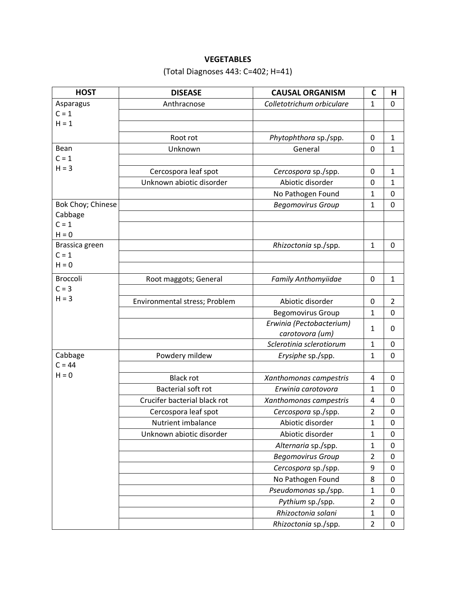## **VEGETABLES**

# (Total Diagnoses 443: C=402; H=41)

| <b>HOST</b>       | <b>DISEASE</b>                | <b>CAUSAL ORGANISM</b>     | $\mathbf C$    | Н                |
|-------------------|-------------------------------|----------------------------|----------------|------------------|
| Asparagus         | Anthracnose                   | Colletotrichum orbiculare  | 1              | 0                |
| $C = 1$           |                               |                            |                |                  |
| $H = 1$           |                               |                            |                |                  |
|                   | Root rot                      | Phytophthora sp./spp.      | 0              | $\mathbf{1}$     |
| Bean              | Unknown                       | General                    | 0              | $\mathbf{1}$     |
| $C = 1$           |                               |                            |                |                  |
| $H = 3$           | Cercospora leaf spot          | Cercospora sp./spp.        | 0              | $\mathbf{1}$     |
|                   | Unknown abiotic disorder      | Abiotic disorder           | 0              | $\mathbf{1}$     |
|                   |                               | No Pathogen Found          | 1              | 0                |
| Bok Choy; Chinese |                               | <b>Begomovirus Group</b>   | $\mathbf{1}$   | 0                |
| Cabbage           |                               |                            |                |                  |
| $C = 1$           |                               |                            |                |                  |
| $H = 0$           |                               |                            |                |                  |
| Brassica green    |                               | Rhizoctonia sp./spp.       | $\mathbf{1}$   | $\mathbf 0$      |
| $C = 1$           |                               |                            |                |                  |
| $H = 0$           |                               |                            |                |                  |
| <b>Broccoli</b>   | Root maggots; General         | <b>Family Anthomyiidae</b> | 0              | $\mathbf{1}$     |
| $C = 3$           |                               |                            |                |                  |
| $H = 3$           | Environmental stress; Problem | Abiotic disorder           | 0              | $\overline{2}$   |
|                   |                               | <b>Begomovirus Group</b>   | $\mathbf{1}$   | 0                |
|                   |                               | Erwinia (Pectobacterium)   | 1              | 0                |
|                   |                               | carotovora (um)            |                |                  |
|                   |                               | Sclerotinia sclerotiorum   | $\mathbf{1}$   | 0                |
| Cabbage           | Powdery mildew                | Erysiphe sp./spp.          | 1              | 0                |
| $C = 44$          |                               |                            |                |                  |
| $H = 0$           | <b>Black rot</b>              | Xanthomonas campestris     | 4              | 0                |
|                   | <b>Bacterial soft rot</b>     | Erwinia carotovora         | 1              | 0                |
|                   | Crucifer bacterial black rot  | Xanthomonas campestris     | 4              | 0                |
|                   | Cercospora leaf spot          | Cercospora sp./spp.        | $\overline{2}$ | 0                |
|                   | Nutrient imbalance            | Abiotic disorder           | 1              | 0                |
|                   | Unknown abiotic disorder      | Abiotic disorder           | 1              | 0                |
|                   |                               | Alternaria sp./spp.        | $\mathbf{1}$   | 0                |
|                   |                               | <b>Begomovirus Group</b>   | $\overline{2}$ | 0                |
|                   |                               | Cercospora sp./spp.        | 9              | 0                |
|                   |                               | No Pathogen Found          | 8              | 0                |
|                   |                               | Pseudomonas sp./spp.       | $\mathbf{1}$   | 0                |
|                   |                               | Pythium sp./spp.           | 2              | 0                |
|                   |                               | Rhizoctonia solani         | $\mathbf{1}$   | $\boldsymbol{0}$ |
|                   |                               | Rhizoctonia sp./spp.       | $\overline{2}$ | 0                |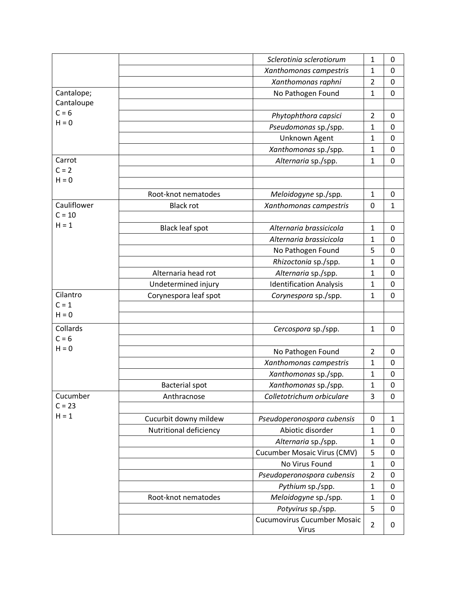|             |                        | Sclerotinia sclerotiorum                           | 1              | 0            |
|-------------|------------------------|----------------------------------------------------|----------------|--------------|
|             |                        | Xanthomonas campestris                             | $\mathbf{1}$   | $\mathbf 0$  |
|             |                        | Xanthomonas raphni                                 | $\overline{2}$ | $\pmb{0}$    |
| Cantalope;  |                        | No Pathogen Found                                  | $\mathbf{1}$   | 0            |
| Cantaloupe  |                        |                                                    |                |              |
| $C = 6$     |                        | Phytophthora capsici                               | $\overline{2}$ | 0            |
| $H = 0$     |                        | Pseudomonas sp./spp.                               | $\mathbf{1}$   | 0            |
|             |                        | Unknown Agent                                      | $\mathbf{1}$   | $\mathbf 0$  |
|             |                        | Xanthomonas sp./spp.                               | $\mathbf{1}$   | $\mathbf 0$  |
| Carrot      |                        | Alternaria sp./spp.                                | $\mathbf{1}$   | $\mathbf 0$  |
| $C = 2$     |                        |                                                    |                |              |
| $H = 0$     |                        |                                                    |                |              |
|             | Root-knot nematodes    | Meloidogyne sp./spp.                               | $\mathbf{1}$   | 0            |
| Cauliflower | <b>Black rot</b>       | Xanthomonas campestris                             | 0              | $\mathbf{1}$ |
| $C = 10$    |                        |                                                    |                |              |
| $H = 1$     | <b>Black leaf spot</b> | Alternaria brassicicola                            | $\mathbf{1}$   | 0            |
|             |                        | Alternaria brassicicola                            | $\mathbf{1}$   | $\mathbf 0$  |
|             |                        | No Pathogen Found                                  | 5              | 0            |
|             |                        | Rhizoctonia sp./spp.                               | $\mathbf{1}$   | 0            |
|             | Alternaria head rot    | Alternaria sp./spp.                                | 1              | 0            |
|             | Undetermined injury    | <b>Identification Analysis</b>                     | $\mathbf{1}$   | $\pmb{0}$    |
| Cilantro    | Corynespora leaf spot  | Corynespora sp./spp.                               | 1              | 0            |
| $C = 1$     |                        |                                                    |                |              |
| $H = 0$     |                        |                                                    |                |              |
| Collards    |                        | Cercospora sp./spp.                                | $\mathbf{1}$   | 0            |
| $C = 6$     |                        |                                                    |                |              |
| $H = 0$     |                        | No Pathogen Found                                  | $\overline{2}$ | 0            |
|             |                        | Xanthomonas campestris                             | $\mathbf{1}$   | $\pmb{0}$    |
|             |                        | Xanthomonas sp./spp.                               | $\mathbf{1}$   | $\mathbf 0$  |
|             | <b>Bacterial spot</b>  | Xanthomonas sp./spp.                               | 1              | 0            |
| Cucumber    | Anthracnose            | Colletotrichum orbiculare                          | 3              | $\mathbf 0$  |
| $C = 23$    |                        |                                                    |                |              |
| $H = 1$     | Cucurbit downy mildew  | Pseudoperonospora cubensis                         | 0              | $\mathbf{1}$ |
|             | Nutritional deficiency | Abiotic disorder                                   | $\mathbf{1}$   | 0            |
|             |                        | Alternaria sp./spp.                                | $\mathbf 1$    | $\pmb{0}$    |
|             |                        | <b>Cucumber Mosaic Virus (CMV)</b>                 | 5              | $\pmb{0}$    |
|             |                        | No Virus Found                                     | $\mathbf 1$    | $\pmb{0}$    |
|             |                        | Pseudoperonospora cubensis                         | $\overline{2}$ | $\pmb{0}$    |
|             |                        | Pythium sp./spp.                                   | $\mathbf 1$    | 0            |
|             | Root-knot nematodes    | Meloidogyne sp./spp.                               | $\mathbf{1}$   | $\pmb{0}$    |
|             |                        | Potyvirus sp./spp.                                 | 5              | 0            |
|             |                        | <b>Cucumovirus Cucumber Mosaic</b><br><b>Virus</b> | $\overline{2}$ | 0            |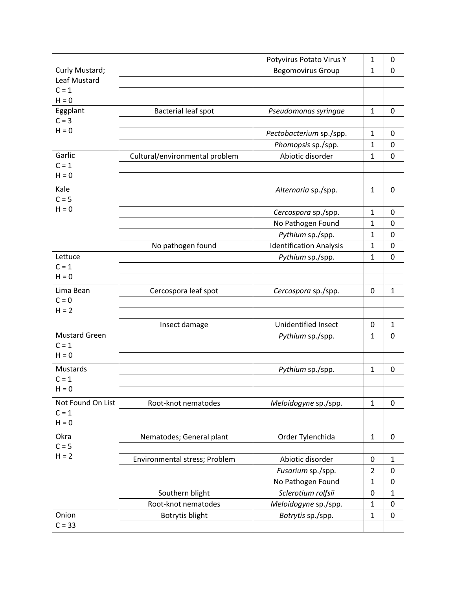|                      |                                | Potyvirus Potato Virus Y       | 1                            | 0                   |
|----------------------|--------------------------------|--------------------------------|------------------------------|---------------------|
| Curly Mustard;       |                                | <b>Begomovirus Group</b>       | $\mathbf{1}$                 | $\mathbf 0$         |
| Leaf Mustard         |                                |                                |                              |                     |
| $C = 1$              |                                |                                |                              |                     |
| $H = 0$              |                                |                                | $\mathbf{1}$                 | $\mathbf 0$         |
| Eggplant<br>$C = 3$  | Bacterial leaf spot            | Pseudomonas syringae           |                              |                     |
| $H = 0$              |                                |                                | $\mathbf{1}$                 | 0                   |
|                      |                                | Pectobacterium sp./spp.        |                              |                     |
| Garlic               |                                | Phomopsis sp./spp.             | $\mathbf{1}$<br>$\mathbf{1}$ | 0<br>$\overline{0}$ |
| $C = 1$              | Cultural/environmental problem | Abiotic disorder               |                              |                     |
| $H = 0$              |                                |                                |                              |                     |
| Kale                 |                                |                                |                              |                     |
| $C = 5$              |                                | Alternaria sp./spp.            | $\mathbf{1}$                 | 0                   |
| $H = 0$              |                                |                                |                              |                     |
|                      |                                | Cercospora sp./spp.            | $\mathbf{1}$                 | 0                   |
|                      |                                | No Pathogen Found              | $\mathbf{1}$                 | $\mathbf 0$         |
|                      |                                | Pythium sp./spp.               | $\mathbf{1}$                 | 0                   |
|                      | No pathogen found              | <b>Identification Analysis</b> | 1                            | $\mathbf 0$         |
| Lettuce<br>$C = 1$   |                                | Pythium sp./spp.               | $\mathbf{1}$                 | 0                   |
| $H = 0$              |                                |                                |                              |                     |
|                      |                                |                                |                              |                     |
| Lima Bean<br>$C = 0$ | Cercospora leaf spot           | Cercospora sp./spp.            | 0                            | $\mathbf{1}$        |
| $H = 2$              |                                |                                |                              |                     |
|                      |                                |                                |                              |                     |
|                      | Insect damage                  | Unidentified Insect            | 0                            | $\mathbf{1}$        |
| <b>Mustard Green</b> |                                | Pythium sp./spp.               | 1                            | 0                   |
| $C = 1$<br>$H = 0$   |                                |                                |                              |                     |
|                      |                                |                                |                              |                     |
| Mustards             |                                | Pythium sp./spp.               | $\mathbf{1}$                 | 0                   |
| $C = 1$<br>$H = 0$   |                                |                                |                              |                     |
|                      |                                |                                |                              |                     |
| Not Found On List    | Root-knot nematodes            | Meloidogyne sp./spp.           | $\mathbf{1}$                 | 0                   |
| $C = 1$<br>$H = 0$   |                                |                                |                              |                     |
|                      |                                |                                |                              |                     |
| Okra                 | Nematodes; General plant       | Order Tylenchida               | $\mathbf{1}$                 | 0                   |
| $C = 5$<br>$H = 2$   |                                |                                |                              |                     |
|                      | Environmental stress; Problem  | Abiotic disorder               | 0                            | $\mathbf{1}$        |
|                      |                                | Fusarium sp./spp.              | $\overline{2}$               | 0                   |
|                      |                                | No Pathogen Found              | $\mathbf{1}$                 | $\mathbf 0$         |
|                      | Southern blight                | Sclerotium rolfsii             | 0                            | $\mathbf{1}$        |
|                      | Root-knot nematodes            | Meloidogyne sp./spp.           | $\mathbf{1}$                 | $\pmb{0}$           |
| Onion                | Botrytis blight                | Botrytis sp./spp.              | $\mathbf{1}$                 | 0                   |
| $C = 33$             |                                |                                |                              |                     |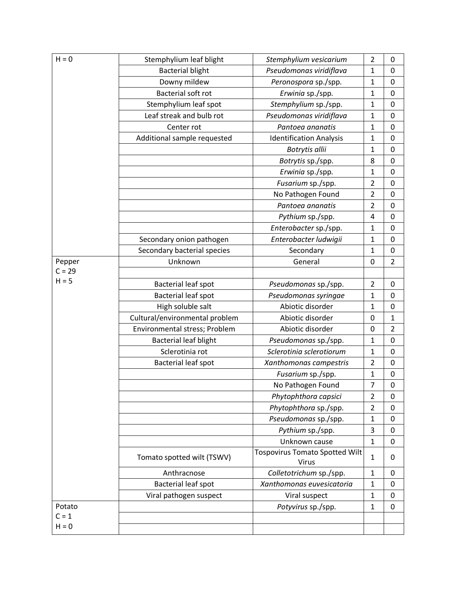| $H = 0$  | Stemphylium leaf blight        | Stemphylium vesicarium                         | $\overline{2}$ | 0                |
|----------|--------------------------------|------------------------------------------------|----------------|------------------|
|          | <b>Bacterial blight</b>        | Pseudomonas viridiflava                        | $\mathbf{1}$   | $\mathbf 0$      |
|          | Downy mildew                   | Peronospora sp./spp.                           | $\mathbf{1}$   | $\pmb{0}$        |
|          | <b>Bacterial soft rot</b>      | Erwinia sp./spp.                               | $\mathbf{1}$   | $\mathbf 0$      |
|          | Stemphylium leaf spot          | Stemphylium sp./spp.                           | 1              | $\pmb{0}$        |
|          | Leaf streak and bulb rot       | Pseudomonas viridiflava                        | 1              | $\mathbf 0$      |
|          | Center rot                     | Pantoea ananatis                               | $\mathbf{1}$   | $\mathbf 0$      |
|          | Additional sample requested    | <b>Identification Analysis</b>                 | 1              | $\mathbf 0$      |
|          |                                | Botrytis allii                                 | $\mathbf{1}$   | $\mathbf 0$      |
|          |                                | Botrytis sp./spp.                              | 8              | $\boldsymbol{0}$ |
|          |                                | Erwinia sp./spp.                               | 1              | $\mathbf 0$      |
|          |                                | Fusarium sp./spp.                              | 2              | $\mathbf 0$      |
|          |                                | No Pathogen Found                              | $\overline{2}$ | 0                |
|          |                                | Pantoea ananatis                               | $\overline{2}$ | $\mathbf 0$      |
|          |                                | Pythium sp./spp.                               | 4              | $\mathbf 0$      |
|          |                                | Enterobacter sp./spp.                          | $\mathbf{1}$   | 0                |
|          | Secondary onion pathogen       | Enterobacter ludwigii                          | $\mathbf{1}$   | $\mathbf 0$      |
|          | Secondary bacterial species    | Secondary                                      | $\mathbf{1}$   | $\boldsymbol{0}$ |
| Pepper   | Unknown                        | General                                        | 0              | $\overline{2}$   |
| $C = 29$ |                                |                                                |                |                  |
| $H = 5$  | Bacterial leaf spot            | Pseudomonas sp./spp.                           | $\overline{2}$ | $\mathbf 0$      |
|          | Bacterial leaf spot            | Pseudomonas syringae                           | $\mathbf{1}$   | $\mathbf 0$      |
|          | High soluble salt              | Abiotic disorder                               | $\mathbf{1}$   | $\mathbf 0$      |
|          | Cultural/environmental problem | Abiotic disorder                               | 0              | $\mathbf{1}$     |
|          | Environmental stress; Problem  | Abiotic disorder                               | 0              | $\overline{2}$   |
|          | <b>Bacterial leaf blight</b>   | Pseudomonas sp./spp.                           | 1              | $\boldsymbol{0}$ |
|          | Sclerotinia rot                | Sclerotinia sclerotiorum                       | $\mathbf{1}$   | $\mathbf 0$      |
|          | Bacterial leaf spot            | Xanthomonas campestris                         | $\overline{2}$ | $\mathbf 0$      |
|          |                                | Fusarium sp./spp.                              | $\mathbf{1}$   | $\mathbf 0$      |
|          |                                | No Pathogen Found                              | $\overline{7}$ | $\Omega$         |
|          |                                | Phytophthora capsici                           | $\overline{2}$ | 0                |
|          |                                | Phytophthora sp./spp.                          | $\overline{2}$ | $\mathbf 0$      |
|          |                                | Pseudomonas sp./spp.                           | $\mathbf 1$    | $\mathbf 0$      |
|          |                                | Pythium sp./spp.                               | 3              | $\boldsymbol{0}$ |
|          |                                | Unknown cause                                  | 1              | $\mathbf 0$      |
|          | Tomato spotted wilt (TSWV)     | <b>Tospovirus Tomato Spotted Wilt</b><br>Virus | 1              | 0                |
|          | Anthracnose                    | Colletotrichum sp./spp.                        | 1              | 0                |
|          | <b>Bacterial leaf spot</b>     | Xanthomonas euvesicatoria                      | 1              | 0                |
|          | Viral pathogen suspect         | Viral suspect                                  | 1              | 0                |
| Potato   |                                | Potyvirus sp./spp.                             | $\mathbf{1}$   | $\mathbf 0$      |
| $C = 1$  |                                |                                                |                |                  |
| $H = 0$  |                                |                                                |                |                  |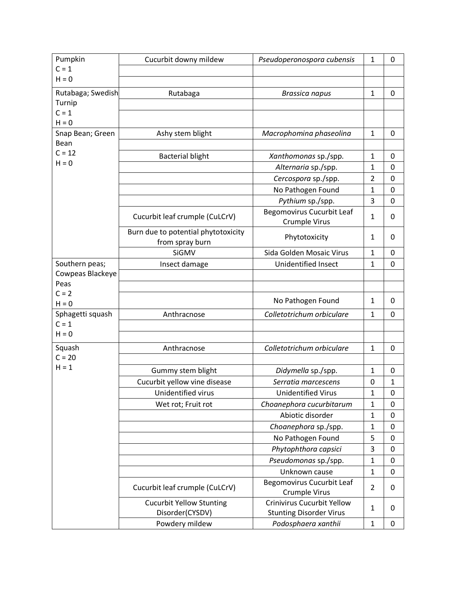| Pumpkin                     | Cucurbit downy mildew                                  | Pseudoperonospora cubensis                                          | 1              | 0            |
|-----------------------------|--------------------------------------------------------|---------------------------------------------------------------------|----------------|--------------|
| $C = 1$                     |                                                        |                                                                     |                |              |
| $H = 0$                     |                                                        |                                                                     |                |              |
| Rutabaga; Swedish           | Rutabaga                                               | <b>Brassica napus</b>                                               | 1              | 0            |
| Turnip                      |                                                        |                                                                     |                |              |
| $C = 1$                     |                                                        |                                                                     |                |              |
| $H = 0$                     |                                                        |                                                                     |                |              |
| Snap Bean; Green<br>Bean    | Ashy stem blight                                       | Macrophomina phaseolina                                             | 1              | 0            |
| $C = 12$                    |                                                        |                                                                     |                |              |
| $H = 0$                     | <b>Bacterial blight</b>                                | Xanthomonas sp./spp.                                                | $\mathbf{1}$   | 0            |
|                             |                                                        | Alternaria sp./spp.                                                 | $\mathbf{1}$   | 0            |
|                             |                                                        | Cercospora sp./spp.                                                 | $\overline{2}$ | 0            |
|                             |                                                        | No Pathogen Found                                                   | $\mathbf{1}$   | 0            |
|                             |                                                        | Pythium sp./spp.                                                    | 3              | 0            |
|                             | Cucurbit leaf crumple (CuLCrV)                         | <b>Begomovirus Cucurbit Leaf</b><br><b>Crumple Virus</b>            | 1              | 0            |
|                             | Burn due to potential phytotoxicity<br>from spray burn | Phytotoxicity                                                       | 1              | 0            |
|                             | SiGMV                                                  | Sida Golden Mosaic Virus                                            | 1              | 0            |
| Southern peas;              | Insect damage                                          | <b>Unidentified Insect</b>                                          | 1              | 0            |
| Cowpeas Blackeye            |                                                        |                                                                     |                |              |
| Peas                        |                                                        |                                                                     |                |              |
| $C = 2$                     |                                                        | No Pathogen Found                                                   | 1              | 0            |
| $H = 0$<br>Sphagetti squash | Anthracnose                                            | Colletotrichum orbiculare                                           | $\mathbf{1}$   | 0            |
| $C = 1$                     |                                                        |                                                                     |                |              |
| $H = 0$                     |                                                        |                                                                     |                |              |
| Squash                      | Anthracnose                                            | Colletotrichum orbiculare                                           | 1              | 0            |
| $C = 20$                    |                                                        |                                                                     |                |              |
| $H = 1$                     |                                                        |                                                                     |                | 0            |
|                             | Gummy stem blight<br>Cucurbit yellow vine disease      | Didymella sp./spp.<br>Serratia marcescens                           | 1<br>0         | $\mathbf{1}$ |
|                             | Unidentified virus                                     | <b>Unidentified Virus</b>                                           |                |              |
|                             |                                                        |                                                                     | 1              | 0            |
|                             | Wet rot; Fruit rot                                     | Choanephora cucurbitarum                                            | 1              | 0            |
|                             |                                                        | Abiotic disorder                                                    | 1              | 0            |
|                             |                                                        | Choanephora sp./spp.                                                | 1              | 0            |
|                             |                                                        | No Pathogen Found                                                   | 5              | 0            |
|                             |                                                        | Phytophthora capsici                                                | 3              | 0            |
|                             |                                                        | Pseudomonas sp./spp.                                                | $\mathbf{1}$   | 0            |
|                             |                                                        | Unknown cause                                                       | $\mathbf{1}$   | 0            |
|                             | Cucurbit leaf crumple (CuLCrV)                         | <b>Begomovirus Cucurbit Leaf</b><br>Crumple Virus                   | $\overline{2}$ | 0            |
|                             | <b>Cucurbit Yellow Stunting</b><br>Disorder(CYSDV)     | <b>Crinivirus Cucurbit Yellow</b><br><b>Stunting Disorder Virus</b> | 1              | 0            |
|                             | Powdery mildew                                         | Podosphaera xanthii                                                 | $\mathbf{1}$   | 0            |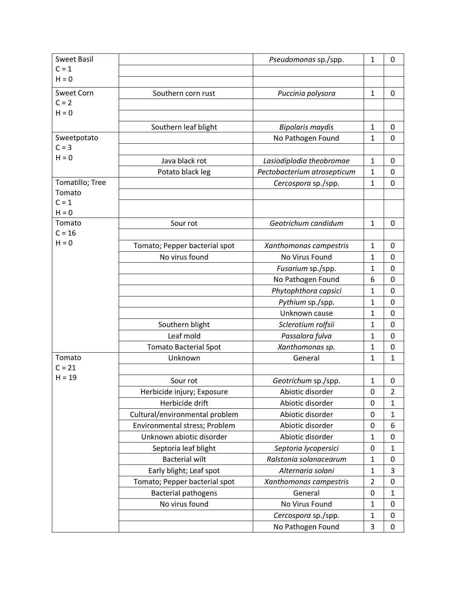| <b>Sweet Basil</b> |                                | Pseudomonas sp./spp.        | $\mathbf{1}$   | 0              |
|--------------------|--------------------------------|-----------------------------|----------------|----------------|
| $C = 1$            |                                |                             |                |                |
| $H = 0$            |                                |                             |                |                |
| <b>Sweet Corn</b>  | Southern corn rust             | Puccinia polysora           | 1              | 0              |
| $C = 2$            |                                |                             |                |                |
| $H = 0$            |                                |                             |                |                |
|                    | Southern leaf blight           | <b>Bipolaris maydis</b>     | $\mathbf{1}$   | 0              |
| Sweetpotato        |                                | No Pathogen Found           | 1              | 0              |
| $C = 3$            |                                |                             |                |                |
| $H = 0$            | Java black rot                 | Lasiodiplodia theobromae    | 1              | 0              |
|                    | Potato black leg               | Pectobacterium atrosepticum | 1              | 0              |
| Tomatillo; Tree    |                                | Cercospora sp./spp.         | 1              | 0              |
| Tomato             |                                |                             |                |                |
| $C = 1$            |                                |                             |                |                |
| $H = 0$            |                                |                             |                |                |
| Tomato             | Sour rot                       | Geotrichum candidum         | 1              | 0              |
| $C = 16$           |                                |                             |                |                |
| $H = 0$            | Tomato; Pepper bacterial spot  | Xanthomonas campestris      | $\mathbf{1}$   | 0              |
|                    | No virus found                 | No Virus Found              | $\mathbf{1}$   | 0              |
|                    |                                | Fusarium sp./spp.           | 1              | 0              |
|                    |                                | No Pathogen Found           | 6              | 0              |
|                    |                                | Phytophthora capsici        | 1              | 0              |
|                    |                                | Pythium sp./spp.            | $\mathbf{1}$   | 0              |
|                    |                                | Unknown cause               | 1              | 0              |
|                    | Southern blight                | Sclerotium rolfsii          | $\mathbf{1}$   | 0              |
|                    | Leaf mold                      | Passalora fulva             | 1              | 0              |
|                    | <b>Tomato Bacterial Spot</b>   | Xanthomonas sp.             | 1              | 0              |
| Tomato             | Unknown                        | General                     | 1              | $\mathbf{1}$   |
| $C = 21$           |                                |                             |                |                |
| $H = 19$           | Sour rot                       | Geotrichum sp./spp.         | 1              | 0              |
|                    | Herbicide injury; Exposure     | Abiotic disorder            | 0              | $\overline{2}$ |
|                    | Herbicide drift                | Abiotic disorder            | 0              | $\mathbf{1}$   |
|                    | Cultural/environmental problem | Abiotic disorder            | 0              | $\mathbf{1}$   |
|                    | Environmental stress; Problem  | Abiotic disorder            | 0              | 6              |
|                    | Unknown abiotic disorder       | Abiotic disorder            | 1              | 0              |
|                    | Septoria leaf blight           | Septoria lycopersici        | 0              | $\mathbf{1}$   |
|                    | <b>Bacterial wilt</b>          | Ralstonia solanacearum      | 1              | 0              |
|                    | Early blight; Leaf spot        | Alternaria solani           | $\mathbf{1}$   | 3              |
|                    | Tomato; Pepper bacterial spot  | Xanthomonas campestris      | $\overline{2}$ | 0              |
|                    | <b>Bacterial pathogens</b>     | General                     | 0              | $\mathbf{1}$   |
|                    | No virus found                 | No Virus Found              | 1              | $\pmb{0}$      |
|                    |                                | Cercospora sp./spp.         | $\mathbf{1}$   | 0              |
|                    |                                | No Pathogen Found           | 3              | 0              |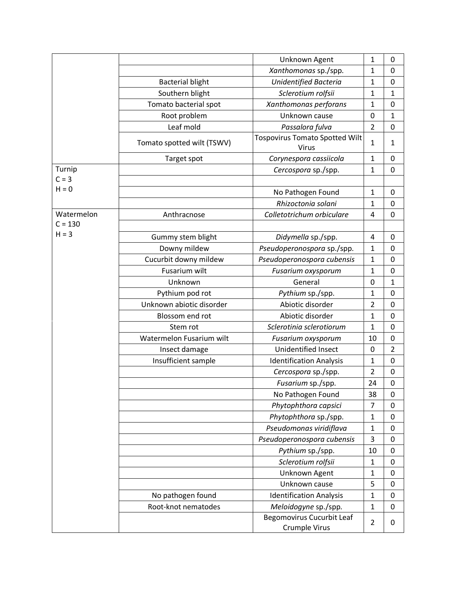|            |                            | Unknown Agent                                         | 1              | 0              |
|------------|----------------------------|-------------------------------------------------------|----------------|----------------|
|            |                            | Xanthomonas sp./spp.                                  | 1              | 0              |
|            | <b>Bacterial blight</b>    | Unidentified Bacteria                                 | $\mathbf{1}$   | 0              |
|            | Southern blight            | Sclerotium rolfsii                                    | 1              | $\mathbf{1}$   |
|            | Tomato bacterial spot      | Xanthomonas perforans                                 | $\mathbf{1}$   | 0              |
|            | Root problem               | Unknown cause                                         | 0              | $\mathbf{1}$   |
|            | Leaf mold                  | Passalora fulva                                       | $\overline{2}$ | 0              |
|            | Tomato spotted wilt (TSWV) | <b>Tospovirus Tomato Spotted Wilt</b><br><b>Virus</b> | 1              | $\mathbf{1}$   |
|            | Target spot                | Corynespora cassiicola                                | $\mathbf{1}$   | 0              |
| Turnip     |                            | Cercospora sp./spp.                                   | $\mathbf{1}$   | 0              |
| $C = 3$    |                            |                                                       |                |                |
| $H = 0$    |                            | No Pathogen Found                                     | $\mathbf{1}$   | 0              |
|            |                            | Rhizoctonia solani                                    | $\mathbf{1}$   | 0              |
| Watermelon | Anthracnose                | Colletotrichum orbiculare                             | 4              | 0              |
| $C = 130$  |                            |                                                       |                |                |
| $H = 3$    | Gummy stem blight          | Didymella sp./spp.                                    | 4              | 0              |
|            | Downy mildew               | Pseudoperonospora sp./spp.                            | $\mathbf{1}$   | 0              |
|            | Cucurbit downy mildew      | Pseudoperonospora cubensis                            | $\mathbf{1}$   | 0              |
|            | Fusarium wilt              | Fusarium oxysporum                                    | $\mathbf{1}$   | 0              |
|            | Unknown                    | General                                               | 0              | $\mathbf{1}$   |
|            | Pythium pod rot            | Pythium sp./spp.                                      | $\mathbf{1}$   | 0              |
|            | Unknown abiotic disorder   | Abiotic disorder                                      | $\overline{2}$ | 0              |
|            | Blossom end rot            | Abiotic disorder                                      | $\mathbf{1}$   | 0              |
|            | Stem rot                   | Sclerotinia sclerotiorum                              | $\mathbf{1}$   | 0              |
|            | Watermelon Fusarium wilt   | Fusarium oxysporum                                    | 10             | 0              |
|            | Insect damage              | Unidentified Insect                                   | 0              | $\overline{2}$ |
|            | Insufficient sample        | <b>Identification Analysis</b>                        | 1              | $\mathsf 0$    |
|            |                            | Cercospora sp./spp.                                   | $\overline{2}$ | 0              |
|            |                            | Fusarium sp./spp.                                     | 24             | $\mathbf 0$    |
|            |                            | No Pathogen Found                                     | 38             | 0              |
|            |                            | Phytophthora capsici                                  | 7              | 0              |
|            |                            | Phytophthora sp./spp.                                 | $\mathbf{1}$   | 0              |
|            |                            | Pseudomonas viridiflava                               | $\mathbf{1}$   | 0              |
|            |                            | Pseudoperonospora cubensis                            | 3              | 0              |
|            |                            | Pythium sp./spp.                                      | 10             | 0              |
|            |                            | Sclerotium rolfsii                                    | $\mathbf{1}$   | 0              |
|            |                            | Unknown Agent                                         | 1              | 0              |
|            |                            | Unknown cause                                         | 5              | 0              |
|            | No pathogen found          | <b>Identification Analysis</b>                        | $\mathbf{1}$   | 0              |
|            | Root-knot nematodes        | Meloidogyne sp./spp.                                  | $\mathbf{1}$   | 0              |
|            |                            | <b>Begomovirus Cucurbit Leaf</b><br>Crumple Virus     | $\overline{2}$ | 0              |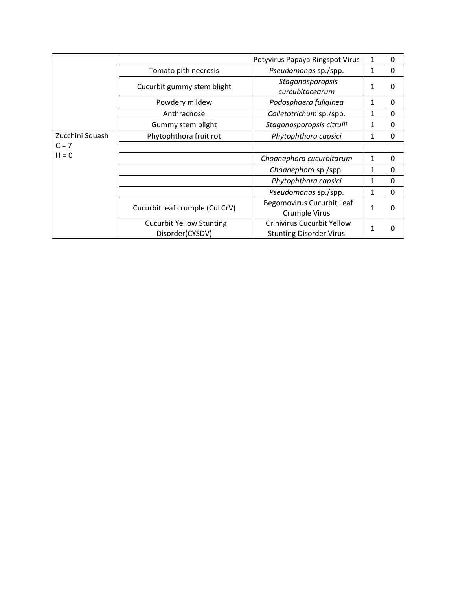|                 |                                                    | Potyvirus Papaya Ringspot Virus                                     | 1            | 0        |
|-----------------|----------------------------------------------------|---------------------------------------------------------------------|--------------|----------|
|                 | Tomato pith necrosis                               | Pseudomonas sp./spp.                                                | 1            | 0        |
|                 | Cucurbit gummy stem blight                         | Stagonosporopsis<br>curcubitacearum                                 | 1            | 0        |
|                 | Powdery mildew                                     | Podosphaera fuliginea                                               | 1            | 0        |
|                 | Anthracnose                                        | Colletotrichum sp./spp.                                             | 1            | 0        |
|                 | Gummy stem blight                                  | Stagonosporopsis citrulli                                           | 1            | 0        |
| Zucchini Squash | Phytophthora fruit rot                             | Phytophthora capsici                                                | 1            | 0        |
| $C = 7$         |                                                    |                                                                     |              |          |
| $H = 0$         |                                                    | Choanephora cucurbitarum                                            | 1            | $\Omega$ |
|                 |                                                    | Choanephora sp./spp.                                                | 1            | 0        |
|                 |                                                    | Phytophthora capsici                                                | 1            | 0        |
|                 |                                                    | Pseudomonas sp./spp.                                                | 1            | $\Omega$ |
|                 | Cucurbit leaf crumple (CuLCrV)                     | Begomovirus Cucurbit Leaf<br>Crumple Virus                          | $\mathbf{1}$ | 0        |
|                 | <b>Cucurbit Yellow Stunting</b><br>Disorder(CYSDV) | <b>Crinivirus Cucurbit Yellow</b><br><b>Stunting Disorder Virus</b> | $\mathbf{1}$ |          |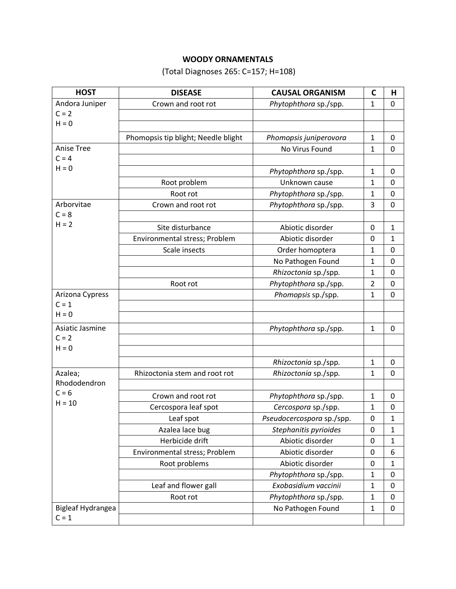## **WOODY ORNAMENTALS**

(Total Diagnoses 265: C=157; H=108)

| <b>HOST</b>       | <b>DISEASE</b>                      | <b>CAUSAL ORGANISM</b>    | C              | Н           |
|-------------------|-------------------------------------|---------------------------|----------------|-------------|
| Andora Juniper    | Crown and root rot                  | Phytophthora sp./spp.     | $\mathbf{1}$   | 0           |
| $C = 2$           |                                     |                           |                |             |
| $H = 0$           |                                     |                           |                |             |
|                   | Phomopsis tip blight; Needle blight | Phomopsis juniperovora    | 1              | 0           |
| <b>Anise Tree</b> |                                     | No Virus Found            | 1              | 0           |
| $C = 4$           |                                     |                           |                |             |
| $H = 0$           |                                     | Phytophthora sp./spp.     | $\mathbf{1}$   | 0           |
|                   | Root problem                        | Unknown cause             | 1              | 0           |
|                   | Root rot                            | Phytophthora sp./spp.     | 1              | 0           |
| Arborvitae        | Crown and root rot                  | Phytophthora sp./spp.     | 3              | 0           |
| $C = 8$           |                                     |                           |                |             |
| $H = 2$           | Site disturbance                    | Abiotic disorder          | 0              | 1           |
|                   | Environmental stress; Problem       | Abiotic disorder          | 0              | 1           |
|                   | Scale insects                       | Order homoptera           | $\mathbf{1}$   | 0           |
|                   |                                     | No Pathogen Found         | 1              | 0           |
|                   |                                     | Rhizoctonia sp./spp.      | 1              | 0           |
|                   | Root rot                            | Phytophthora sp./spp.     | $\overline{2}$ | $\mathbf 0$ |
| Arizona Cypress   |                                     | Phomopsis sp./spp.        | 1              | 0           |
| $C = 1$           |                                     |                           |                |             |
| $H = 0$           |                                     |                           |                |             |
| Asiatic Jasmine   |                                     | Phytophthora sp./spp.     | 1              | 0           |
| $C = 2$           |                                     |                           |                |             |
| $H = 0$           |                                     |                           |                |             |
|                   |                                     | Rhizoctonia sp./spp.      | $\mathbf{1}$   | 0           |
| Azalea;           | Rhizoctonia stem and root rot       | Rhizoctonia sp./spp.      | 1              | 0           |
| Rhododendron      |                                     |                           |                |             |
| $C = 6$           | Crown and root rot                  | Phytophthora sp./spp.     | 1              | 0           |
| $H = 10$          | Cercospora leaf spot                | Cercospora sp./spp.       | 1              | 0           |
|                   | Leaf spot                           | Pseudocercospora sp./spp. | 0              | 1           |
|                   | Azalea lace bug                     | Stephanitis pyrioides     | $\mathbf 0$    | 1           |
|                   | Herbicide drift                     | Abiotic disorder          | 0              | 1           |
|                   | Environmental stress; Problem       | Abiotic disorder          | 0              | 6           |
|                   | Root problems                       | Abiotic disorder          | 0              | 1           |
|                   |                                     | Phytophthora sp./spp.     | 1              | $\pmb{0}$   |
|                   | Leaf and flower gall                | Exobasidium vaccinii      | 1              | 0           |
|                   | Root rot                            | Phytophthora sp./spp.     | $\mathbf{1}$   | 0           |
| Bigleaf Hydrangea |                                     | No Pathogen Found         | 1              | 0           |
| $C = 1$           |                                     |                           |                |             |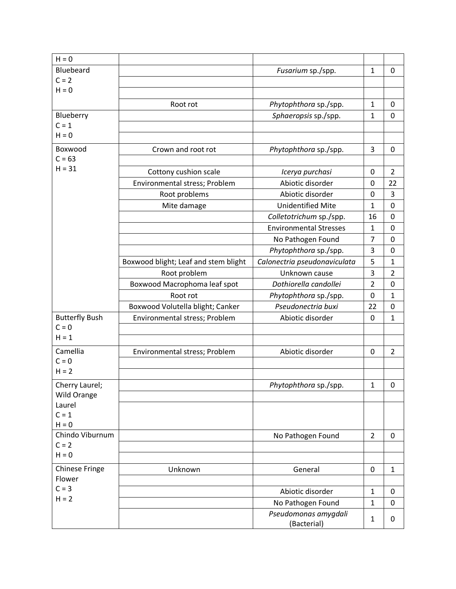| $H = 0$                         |                                      |                                     |                |                |
|---------------------------------|--------------------------------------|-------------------------------------|----------------|----------------|
| Bluebeard                       |                                      | Fusarium sp./spp.                   | $\mathbf{1}$   | 0              |
| $C = 2$                         |                                      |                                     |                |                |
| $H = 0$                         |                                      |                                     |                |                |
|                                 | Root rot                             | Phytophthora sp./spp.               | $\mathbf{1}$   | 0              |
| Blueberry                       |                                      | Sphaeropsis sp./spp.                | $\mathbf{1}$   | $\mathbf 0$    |
| $C = 1$                         |                                      |                                     |                |                |
| $H = 0$                         |                                      |                                     |                |                |
| Boxwood                         | Crown and root rot                   | Phytophthora sp./spp.               | 3              | 0              |
| $C = 63$                        |                                      |                                     |                |                |
| $H = 31$                        | Cottony cushion scale                | Icerya purchasi                     | 0              | $\overline{2}$ |
|                                 | Environmental stress; Problem        | Abiotic disorder                    | 0              | 22             |
|                                 | Root problems                        | Abiotic disorder                    | 0              | 3              |
|                                 | Mite damage                          | <b>Unidentified Mite</b>            | 1              | $\mathbf 0$    |
|                                 |                                      | Colletotrichum sp./spp.             | 16             | $\mathbf 0$    |
|                                 |                                      | <b>Environmental Stresses</b>       | 1              | $\mathbf 0$    |
|                                 |                                      | No Pathogen Found                   | $\overline{7}$ | $\mathbf 0$    |
|                                 |                                      | Phytophthora sp./spp.               | 3              | $\mathbf 0$    |
|                                 | Boxwood blight; Leaf and stem blight | Calonectria pseudonaviculata        | 5              | $\mathbf 1$    |
|                                 | Root problem                         | Unknown cause                       | 3              | $\overline{2}$ |
|                                 | Boxwood Macrophoma leaf spot         | Dothiorella candollei               | $\overline{2}$ | $\mathbf 0$    |
|                                 | Root rot                             | Phytophthora sp./spp.               | 0              | $\mathbf{1}$   |
|                                 | Boxwood Volutella blight; Canker     | Pseudonectria buxi                  | 22             | 0              |
| <b>Butterfly Bush</b>           | Environmental stress; Problem        | Abiotic disorder                    | 0              | $\mathbf{1}$   |
| $C = 0$                         |                                      |                                     |                |                |
| $H = 1$                         |                                      |                                     |                |                |
| Camellia                        | Environmental stress; Problem        | Abiotic disorder                    | 0              | $\overline{2}$ |
| $C = 0$                         |                                      |                                     |                |                |
| $H = 2$                         |                                      |                                     |                |                |
| Cherry Laurel;                  |                                      | Phytophthora sp./spp.               | $\mathbf{1}$   | 0              |
| Wild Orange                     |                                      |                                     |                |                |
| Laurel                          |                                      |                                     |                |                |
| $C = 1$                         |                                      |                                     |                |                |
| $H = 0$<br>Chindo Viburnum      |                                      |                                     |                |                |
| $C = 2$                         |                                      | No Pathogen Found                   | $\overline{2}$ | $\mathbf 0$    |
| $H = 0$                         |                                      |                                     |                |                |
|                                 |                                      |                                     |                |                |
| <b>Chinese Fringe</b><br>Flower | Unknown                              | General                             | 0              | $\mathbf{1}$   |
| $C = 3$                         |                                      |                                     |                |                |
| $H = 2$                         |                                      | Abiotic disorder                    | $\mathbf{1}$   | 0              |
|                                 |                                      | No Pathogen Found                   | $\mathbf{1}$   | 0              |
|                                 |                                      | Pseudomonas amygdali<br>(Bacterial) | $\mathbf{1}$   | 0              |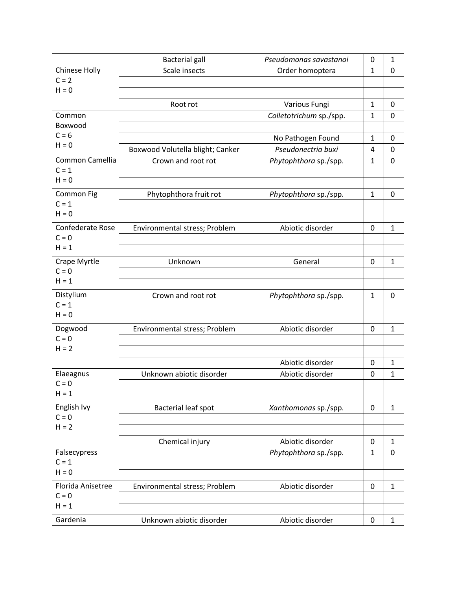|                    | <b>Bacterial gall</b>            | Pseudomonas savastanoi  | 0            | $\mathbf{1}$ |
|--------------------|----------------------------------|-------------------------|--------------|--------------|
| Chinese Holly      | Scale insects                    | Order homoptera         | $\mathbf{1}$ | 0            |
| $C = 2$            |                                  |                         |              |              |
| $H = 0$            |                                  |                         |              |              |
|                    | Root rot                         | Various Fungi           | $\mathbf{1}$ | 0            |
| Common             |                                  | Colletotrichum sp./spp. | $\mathbf{1}$ | $\mathbf 0$  |
| Boxwood            |                                  |                         |              |              |
| $C = 6$<br>$H = 0$ |                                  | No Pathogen Found       | $\mathbf{1}$ | 0            |
|                    | Boxwood Volutella blight; Canker | Pseudonectria buxi      | 4            | 0            |
| Common Camellia    | Crown and root rot               | Phytophthora sp./spp.   | $\mathbf{1}$ | $\mathbf 0$  |
| $C = 1$            |                                  |                         |              |              |
| $H = 0$            |                                  |                         |              |              |
| Common Fig         | Phytophthora fruit rot           | Phytophthora sp./spp.   | $\mathbf{1}$ | 0            |
| $C = 1$            |                                  |                         |              |              |
| $H = 0$            |                                  |                         |              |              |
| Confederate Rose   | Environmental stress; Problem    | Abiotic disorder        | 0            | $\mathbf{1}$ |
| $C = 0$            |                                  |                         |              |              |
| $H = 1$            |                                  |                         |              |              |
| Crape Myrtle       | Unknown                          | General                 | 0            | $\mathbf{1}$ |
| $C = 0$            |                                  |                         |              |              |
| $H = 1$            |                                  |                         |              |              |
| Distylium          | Crown and root rot               | Phytophthora sp./spp.   | $\mathbf{1}$ | 0            |
| $C = 1$            |                                  |                         |              |              |
| $H = 0$            |                                  |                         |              |              |
| Dogwood            | Environmental stress; Problem    | Abiotic disorder        | 0            | $\mathbf{1}$ |
| $C = 0$            |                                  |                         |              |              |
| $H = 2$            |                                  |                         |              |              |
|                    |                                  | Abiotic disorder        | 0            | $\mathbf{1}$ |
| Elaeagnus          | Unknown abiotic disorder         | Abiotic disorder        | 0            | $\mathbf{1}$ |
| $C = 0$            |                                  |                         |              |              |
| $H = 1$            |                                  |                         |              |              |
| English Ivy        | Bacterial leaf spot              | Xanthomonas sp./spp.    | 0            | $\mathbf{1}$ |
| $C = 0$            |                                  |                         |              |              |
| $H = 2$            |                                  |                         |              |              |
|                    | Chemical injury                  | Abiotic disorder        | 0            | $\mathbf{1}$ |
| Falsecypress       |                                  | Phytophthora sp./spp.   | $\mathbf{1}$ | 0            |
| $C = 1$            |                                  |                         |              |              |
| $H = 0$            |                                  |                         |              |              |
| Florida Anisetree  | Environmental stress; Problem    | Abiotic disorder        | $\pmb{0}$    | $\mathbf{1}$ |
| $C = 0$            |                                  |                         |              |              |
| $H = 1$            |                                  |                         |              |              |
| Gardenia           | Unknown abiotic disorder         | Abiotic disorder        | 0            | $\mathbf{1}$ |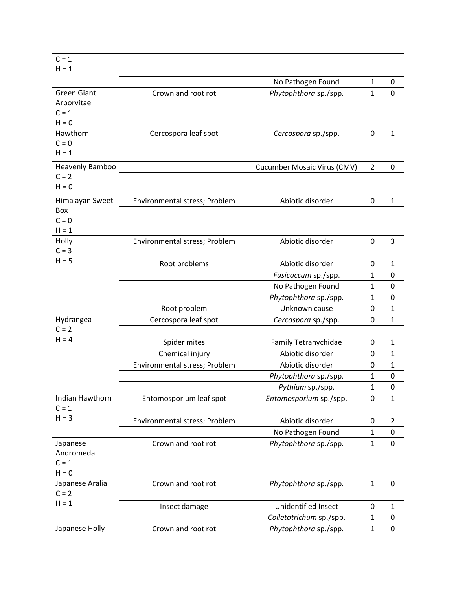| $C = 1$                    |                               |                                    |                |                |
|----------------------------|-------------------------------|------------------------------------|----------------|----------------|
| $H = 1$                    |                               |                                    |                |                |
|                            |                               | No Pathogen Found                  | $\mathbf{1}$   | 0              |
| <b>Green Giant</b>         | Crown and root rot            | Phytophthora sp./spp.              | 1              | 0              |
| Arborvitae                 |                               |                                    |                |                |
| $C = 1$                    |                               |                                    |                |                |
| $H = 0$                    |                               |                                    |                |                |
| Hawthorn                   | Cercospora leaf spot          | Cercospora sp./spp.                | 0              | $\mathbf{1}$   |
| $C = 0$                    |                               |                                    |                |                |
| $H = 1$                    |                               |                                    |                |                |
| Heavenly Bamboo            |                               | <b>Cucumber Mosaic Virus (CMV)</b> | $\overline{2}$ | 0              |
| $C = 2$                    |                               |                                    |                |                |
| $H = 0$                    |                               |                                    |                |                |
| Himalayan Sweet            | Environmental stress; Problem | Abiotic disorder                   | 0              | $\mathbf{1}$   |
| Box                        |                               |                                    |                |                |
| $C = 0$                    |                               |                                    |                |                |
| $H = 1$                    |                               |                                    |                |                |
| Holly<br>$C = 3$           | Environmental stress; Problem | Abiotic disorder                   | 0              | 3              |
| $H = 5$                    |                               |                                    |                |                |
|                            | Root problems                 | Abiotic disorder                   | 0              | $\mathbf{1}$   |
|                            |                               | Fusicoccum sp./spp.                | $\mathbf{1}$   | 0              |
|                            |                               | No Pathogen Found                  | 1              | 0              |
|                            |                               | Phytophthora sp./spp.              | 1              | 0              |
|                            | Root problem                  | Unknown cause                      | 0              | $\mathbf{1}$   |
| Hydrangea                  | Cercospora leaf spot          | Cercospora sp./spp.                | 0              | $\mathbf 1$    |
| $C = 2$<br>$H = 4$         |                               |                                    |                |                |
|                            | Spider mites                  | Family Tetranychidae               | 0              | $\mathbf{1}$   |
|                            | Chemical injury               | Abiotic disorder                   | 0              | $\mathbf{1}$   |
|                            | Environmental stress; Problem | Abiotic disorder                   | 0              | $\mathbf{1}$   |
|                            |                               | Phytophthora sp./spp.              | 1              | 0              |
|                            |                               | Pythium sp./spp.                   | $\mathbf 1$    | $\mathbf 0$    |
| <b>Indian Hawthorn</b>     | Entomosporium leaf spot       | Entomosporium sp./spp.             | 0              | $\mathbf{1}$   |
| $C = 1$                    |                               |                                    |                |                |
| $H = 3$                    | Environmental stress; Problem | Abiotic disorder                   | 0              | $\overline{2}$ |
|                            |                               | No Pathogen Found                  | $\mathbf{1}$   | 0              |
| Japanese                   | Crown and root rot            | Phytophthora sp./spp.              | $\mathbf{1}$   | 0              |
| Andromeda                  |                               |                                    |                |                |
| $C = 1$<br>$H = 0$         |                               |                                    |                |                |
|                            |                               |                                    |                |                |
| Japanese Aralia<br>$C = 2$ | Crown and root rot            | Phytophthora sp./spp.              | $\mathbf{1}$   | 0              |
| $H = 1$                    |                               |                                    |                |                |
|                            | Insect damage                 | Unidentified Insect                | 0              | $\mathbf{1}$   |
|                            |                               | Colletotrichum sp./spp.            | $\mathbf{1}$   | 0              |
| Japanese Holly             | Crown and root rot            | Phytophthora sp./spp.              | $\mathbf{1}$   | 0              |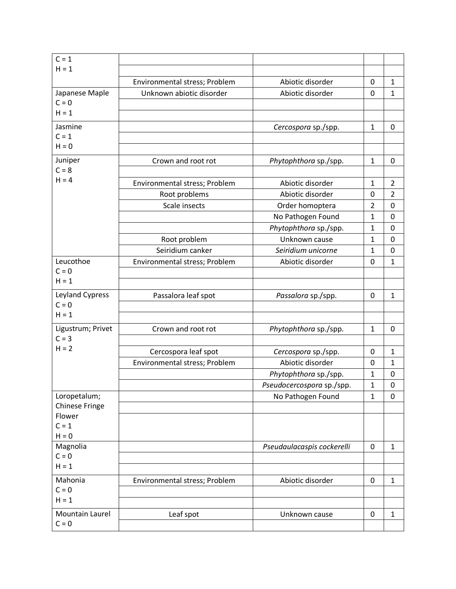| $C = 1$               |                               |                            |                |                |
|-----------------------|-------------------------------|----------------------------|----------------|----------------|
| $H = 1$               |                               |                            |                |                |
|                       | Environmental stress; Problem | Abiotic disorder           | 0              | $\mathbf{1}$   |
| Japanese Maple        | Unknown abiotic disorder      | Abiotic disorder           | $\mathbf 0$    | $\mathbf{1}$   |
| $C = 0$               |                               |                            |                |                |
| $H = 1$               |                               |                            |                |                |
| Jasmine               |                               | Cercospora sp./spp.        | $\mathbf{1}$   | 0              |
| $C = 1$               |                               |                            |                |                |
| $H = 0$               |                               |                            |                |                |
| Juniper               | Crown and root rot            | Phytophthora sp./spp.      | $\mathbf{1}$   | 0              |
| $C = 8$               |                               |                            |                |                |
| $H = 4$               | Environmental stress; Problem | Abiotic disorder           | $\mathbf{1}$   | $\overline{2}$ |
|                       | Root problems                 | Abiotic disorder           | 0              | $\overline{2}$ |
|                       | Scale insects                 | Order homoptera            | $\overline{2}$ | $\pmb{0}$      |
|                       |                               | No Pathogen Found          | $\mathbf{1}$   | 0              |
|                       |                               | Phytophthora sp./spp.      | 1              | 0              |
|                       | Root problem                  | Unknown cause              | $\mathbf{1}$   | $\mathbf 0$    |
|                       | Seiridium canker              | Seiridium unicorne         | 1              | 0              |
| Leucothoe             | Environmental stress; Problem | Abiotic disorder           | 0              | $\mathbf{1}$   |
| $C = 0$               |                               |                            |                |                |
| $H = 1$               |                               |                            |                |                |
| Leyland Cypress       | Passalora leaf spot           | Passalora sp./spp.         | 0              | $\mathbf{1}$   |
| $C = 0$               |                               |                            |                |                |
| $H = 1$               |                               |                            |                |                |
| Ligustrum; Privet     | Crown and root rot            | Phytophthora sp./spp.      | $\mathbf{1}$   | 0              |
| $C = 3$               |                               |                            |                |                |
| $H = 2$               | Cercospora leaf spot          | Cercospora sp./spp.        | 0              | $\mathbf{1}$   |
|                       | Environmental stress; Problem | Abiotic disorder           | 0              | $\mathbf{1}$   |
|                       |                               | Phytophthora sp./spp.      | $\mathbf{1}$   | 0              |
|                       |                               | Pseudocercospora sp./spp.  | $\mathbf{1}$   | 0              |
| Loropetalum;          |                               | No Pathogen Found          | $\mathbf{1}$   | 0              |
| <b>Chinese Fringe</b> |                               |                            |                |                |
| Flower                |                               |                            |                |                |
| $C = 1$               |                               |                            |                |                |
| $H = 0$<br>Magnolia   |                               |                            |                |                |
| $C = 0$               |                               | Pseudaulacaspis cockerelli | 0              | $\mathbf{1}$   |
| $H = 1$               |                               |                            |                |                |
| Mahonia               |                               |                            | $\mathbf 0$    | $\mathbf{1}$   |
| $C = 0$               | Environmental stress; Problem | Abiotic disorder           |                |                |
| $H = 1$               |                               |                            |                |                |
| Mountain Laurel       |                               | Unknown cause              | 0              | $\mathbf{1}$   |
| $C = 0$               | Leaf spot                     |                            |                |                |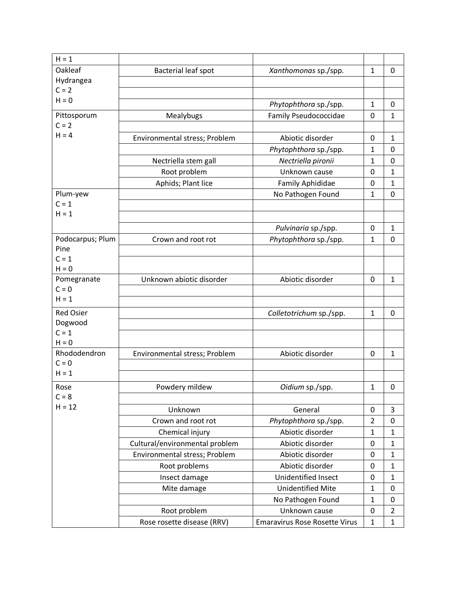| $H = 1$          |                                |                                      |                |                |
|------------------|--------------------------------|--------------------------------------|----------------|----------------|
| Oakleaf          | Bacterial leaf spot            | Xanthomonas sp./spp.                 | $\mathbf{1}$   | 0              |
| Hydrangea        |                                |                                      |                |                |
| $C = 2$          |                                |                                      |                |                |
| $H = 0$          |                                | Phytophthora sp./spp.                | $\mathbf{1}$   | 0              |
| Pittosporum      | Mealybugs                      | Family Pseudococcidae                | 0              | $\mathbf{1}$   |
| $C = 2$          |                                |                                      |                |                |
| $H = 4$          | Environmental stress; Problem  | Abiotic disorder                     | 0              | $\mathbf{1}$   |
|                  |                                | Phytophthora sp./spp.                | $\mathbf{1}$   | 0              |
|                  | Nectriella stem gall           | Nectriella pironii                   | 1              | 0              |
|                  | Root problem                   | Unknown cause                        | 0              | $\mathbf{1}$   |
|                  | Aphids; Plant lice             | Family Aphididae                     | 0              | $\mathbf 1$    |
| Plum-yew         |                                | No Pathogen Found                    | $\mathbf{1}$   | 0              |
| $C = 1$          |                                |                                      |                |                |
| $H = 1$          |                                |                                      |                |                |
|                  |                                | Pulvinaria sp./spp.                  | 0              | $\mathbf{1}$   |
| Podocarpus; Plum | Crown and root rot             | Phytophthora sp./spp.                | $\mathbf{1}$   | 0              |
| Pine             |                                |                                      |                |                |
| $C = 1$          |                                |                                      |                |                |
| $H = 0$          |                                |                                      |                |                |
| Pomegranate      | Unknown abiotic disorder       | Abiotic disorder                     | 0              | $\mathbf{1}$   |
| $C = 0$          |                                |                                      |                |                |
| $H = 1$          |                                |                                      |                |                |
| <b>Red Osier</b> |                                | Colletotrichum sp./spp.              | $\mathbf{1}$   | 0              |
| Dogwood          |                                |                                      |                |                |
| $C = 1$          |                                |                                      |                |                |
| $H = 0$          |                                |                                      |                |                |
| Rhododendron     | Environmental stress; Problem  | Abiotic disorder                     | 0              | $\mathbf{1}$   |
| $C = 0$          |                                |                                      |                |                |
| $H = 1$          |                                |                                      |                |                |
| Rose             | Powdery mildew                 | Oidium sp./spp.                      | $\mathbf{1}$   | 0              |
| $C = 8$          |                                |                                      |                |                |
| $H = 12$         | Unknown                        | General                              | 0              | 3              |
|                  | Crown and root rot             | Phytophthora sp./spp.                | $\overline{2}$ | $\pmb{0}$      |
|                  | Chemical injury                | Abiotic disorder                     | $\mathbf 1$    | $\mathbf{1}$   |
|                  | Cultural/environmental problem | Abiotic disorder                     | 0              | $\mathbf{1}$   |
|                  | Environmental stress; Problem  | Abiotic disorder                     | 0              | $\mathbf{1}$   |
|                  | Root problems                  | Abiotic disorder                     | 0              | $\mathbf{1}$   |
|                  | Insect damage                  | Unidentified Insect                  | 0              | $\mathbf{1}$   |
|                  | Mite damage                    | <b>Unidentified Mite</b>             | $\mathbf{1}$   | $\pmb{0}$      |
|                  |                                | No Pathogen Found                    | $\mathbf{1}$   | 0              |
|                  | Root problem                   | Unknown cause                        | 0              | $\overline{2}$ |
|                  | Rose rosette disease (RRV)     | <b>Emaravirus Rose Rosette Virus</b> | $\mathbf{1}$   | $\mathbf{1}$   |